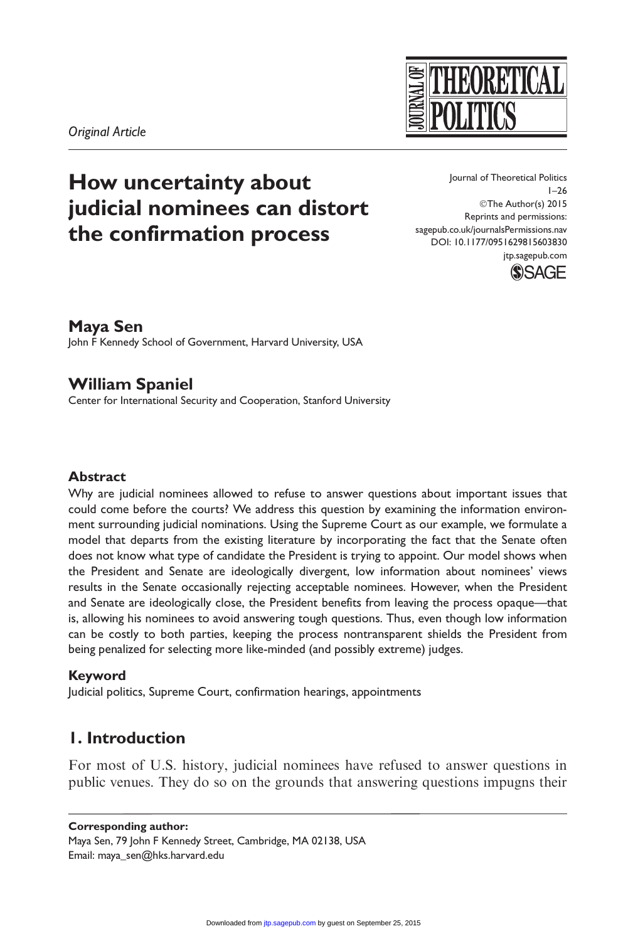

Original Article

# How uncertainty about judicial nominees can distort the confirmation process

Journal of Theoretical Politics  $1 - 26$ ©The Author(s) 2015 Reprints and permissions: sagepub.co.uk/journalsPermissions.nav DOI: 10.1177/0951629815603830 jtp.sagepub.com



# Maya Sen

John F Kennedy School of Government, Harvard University, USA

# William Spaniel

Center for International Security and Cooperation, Stanford University

## Abstract

Why are judicial nominees allowed to refuse to answer questions about important issues that could come before the courts? We address this question by examining the information environment surrounding judicial nominations. Using the Supreme Court as our example, we formulate a model that departs from the existing literature by incorporating the fact that the Senate often does not know what type of candidate the President is trying to appoint. Our model shows when the President and Senate are ideologically divergent, low information about nominees' views results in the Senate occasionally rejecting acceptable nominees. However, when the President and Senate are ideologically close, the President benefits from leaving the process opaque—that is, allowing his nominees to avoid answering tough questions. Thus, even though low information can be costly to both parties, keeping the process nontransparent shields the President from being penalized for selecting more like-minded (and possibly extreme) judges.

## Keyword

Judicial politics, Supreme Court, confirmation hearings, appointments

# 1. Introduction

For most of U.S. history, judicial nominees have refused to answer questions in public venues. They do so on the grounds that answering questions impugns their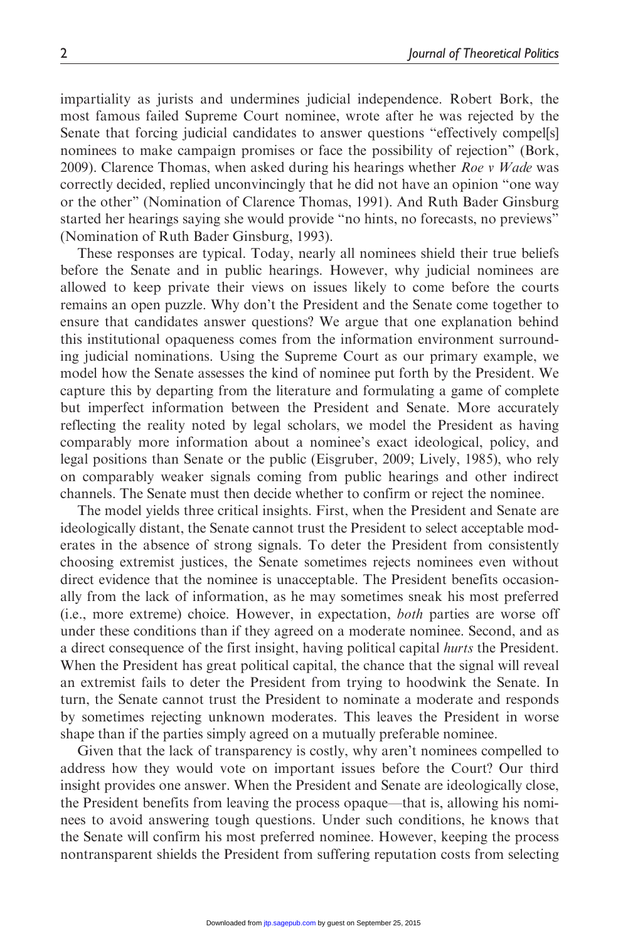impartiality as jurists and undermines judicial independence. Robert Bork, the most famous failed Supreme Court nominee, wrote after he was rejected by the Senate that forcing judicial candidates to answer questions ''effectively compel[s] nominees to make campaign promises or face the possibility of rejection'' (Bork, 2009). Clarence Thomas, when asked during his hearings whether Roe v Wade was correctly decided, replied unconvincingly that he did not have an opinion ''one way or the other'' (Nomination of Clarence Thomas, 1991). And Ruth Bader Ginsburg started her hearings saying she would provide ''no hints, no forecasts, no previews'' (Nomination of Ruth Bader Ginsburg, 1993).

These responses are typical. Today, nearly all nominees shield their true beliefs before the Senate and in public hearings. However, why judicial nominees are allowed to keep private their views on issues likely to come before the courts remains an open puzzle. Why don't the President and the Senate come together to ensure that candidates answer questions? We argue that one explanation behind this institutional opaqueness comes from the information environment surrounding judicial nominations. Using the Supreme Court as our primary example, we model how the Senate assesses the kind of nominee put forth by the President. We capture this by departing from the literature and formulating a game of complete but imperfect information between the President and Senate. More accurately reflecting the reality noted by legal scholars, we model the President as having comparably more information about a nominee's exact ideological, policy, and legal positions than Senate or the public (Eisgruber, 2009; Lively, 1985), who rely on comparably weaker signals coming from public hearings and other indirect channels. The Senate must then decide whether to confirm or reject the nominee.

The model yields three critical insights. First, when the President and Senate are ideologically distant, the Senate cannot trust the President to select acceptable moderates in the absence of strong signals. To deter the President from consistently choosing extremist justices, the Senate sometimes rejects nominees even without direct evidence that the nominee is unacceptable. The President benefits occasionally from the lack of information, as he may sometimes sneak his most preferred (i.e., more extreme) choice. However, in expectation, both parties are worse off under these conditions than if they agreed on a moderate nominee. Second, and as a direct consequence of the first insight, having political capital hurts the President. When the President has great political capital, the chance that the signal will reveal an extremist fails to deter the President from trying to hoodwink the Senate. In turn, the Senate cannot trust the President to nominate a moderate and responds by sometimes rejecting unknown moderates. This leaves the President in worse shape than if the parties simply a[greed on a](http://jtp.sagepub.com/) mutually preferable nominee.

Given that the lack of transparency is costly, why aren't nominees compelled to address how they would vote on important issues before the Court? Our third insight provides one answer. When the President and Senate are ideologically close, the President benefits from leaving the process opaque—that is, allowing his nominees to avoid answering tough questions. Under such conditions, he knows that the Senate will confirm his most preferred nominee. However, keeping the process nontransparent shields the President from suffering reputation costs from selecting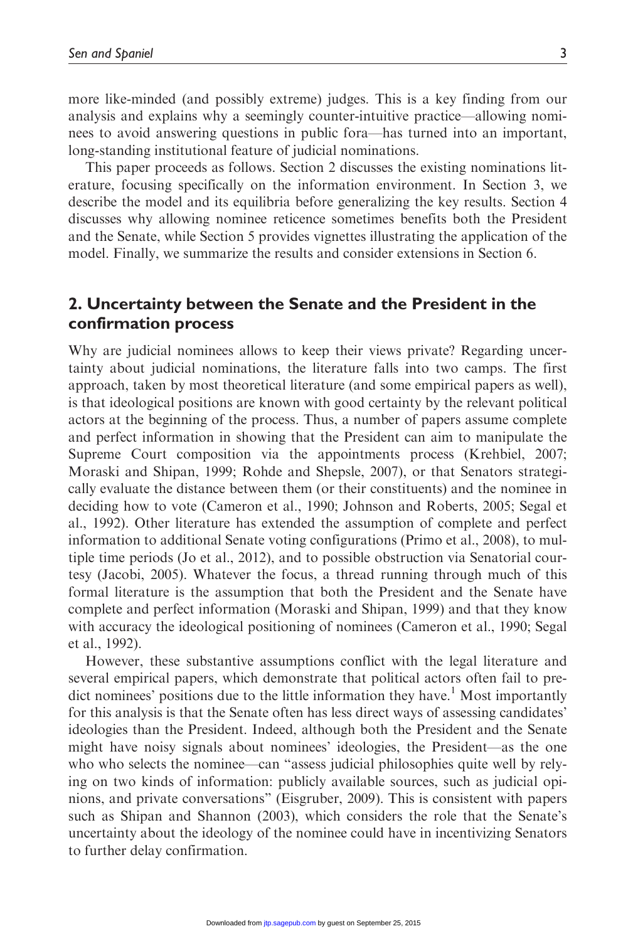more like-minded (and possibly extreme) judges. This is a key finding from our analysis and explains why a seemingly counter-intuitive practice—allowing nominees to avoid answering questions in public fora—has turned into an important, long-standing institutional feature of judicial nominations.

This paper proceeds as follows. Section 2 discusses the existing nominations literature, focusing specifically on the information environment. In Section 3, we describe the model and its equilibria before generalizing the key results. Section 4 discusses why allowing nominee reticence sometimes benefits both the President and the Senate, while Section 5 provides vignettes illustrating the application of the model. Finally, we summarize the results and consider extensions in Section 6.

# 2. Uncertainty between the Senate and the President in the confirmation process

Why are judicial nominees allows to keep their views private? Regarding uncertainty about judicial nominations, the literature falls into two camps. The first approach, taken by most theoretical literature (and some empirical papers as well), is that ideological positions are known with good certainty by the relevant political actors at the beginning of the process. Thus, a number of papers assume complete and perfect information in showing that the President can aim to manipulate the Supreme Court composition via the appointments process (Krehbiel, 2007; Moraski and Shipan, 1999; Rohde and Shepsle, 2007), or that Senators strategically evaluate the distance between them (or their constituents) and the nominee in deciding how to vote (Cameron et al., 1990; Johnson and Roberts, 2005; Segal et al., 1992). Other literature has extended the assumption of complete and perfect information to additional Senate voting configurations (Primo et al., 2008), to multiple time periods (Jo et al., 2012), and to possible obstruction via Senatorial courtesy (Jacobi, 2005). Whatever the focus, a thread running through much of this formal literature is the assumption that both the President and the Senate have complete and perfect information (Moraski and Shipan, 1999) and that they know with accuracy the ideological positioning of nominees (Cameron et al., 1990; Segal et al., 1992).

However, these substantive assumptions conflict with the legal literature and several empirical papers, which demonstrate that political actors often fail to predict nominees' positions due to the little information they have.<sup>1</sup> Most importantly for this analysis is that the Senate often has less direct ways of assessing candidates' ideologies than the President. Indeed, although both the President and the Senate might have noisy signals abou[t](http://jtp.sagepub.com/) [nominee](http://jtp.sagepub.com/)s' ideologies, the President—as the one who who selects the nominee—can "assess judicial philosophies quite well by relying on two kinds of information: publicly available sources, such as judicial opinions, and private conversations'' (Eisgruber, 2009). This is consistent with papers such as Shipan and Shannon (2003), which considers the role that the Senate's uncertainty about the ideology of the nominee could have in incentivizing Senators to further delay confirmation.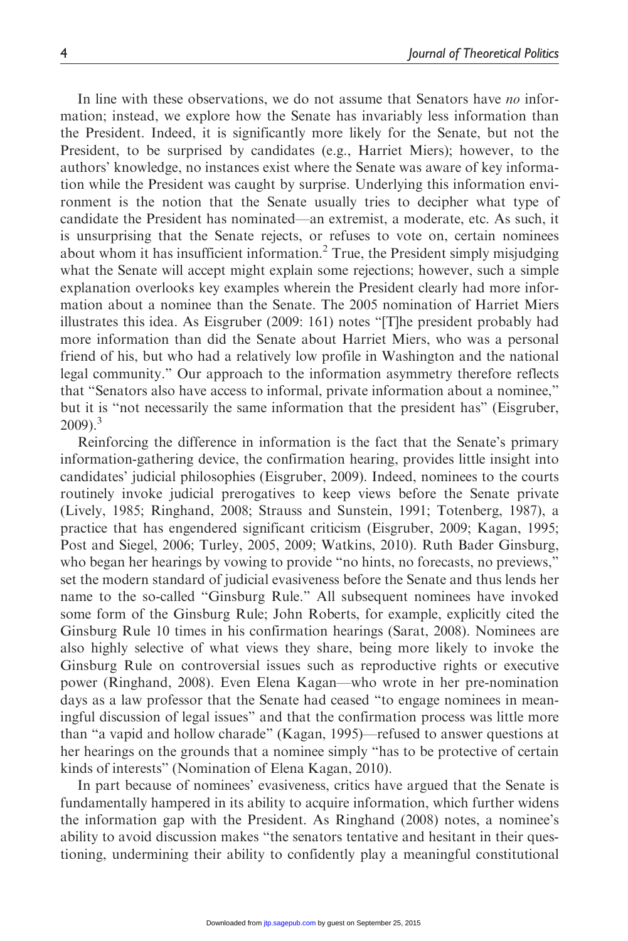In line with these observations, we do not assume that Senators have no information; instead, we explore how the Senate has invariably less information than the President. Indeed, it is significantly more likely for the Senate, but not the President, to be surprised by candidates (e.g., Harriet Miers); however, to the authors' knowledge, no instances exist where the Senate was aware of key information while the President was caught by surprise. Underlying this information environment is the notion that the Senate usually tries to decipher what type of candidate the President has nominated—an extremist, a moderate, etc. As such, it is unsurprising that the Senate rejects, or refuses to vote on, certain nominees about whom it has insufficient information.<sup>2</sup> True, the President simply misjudging what the Senate will accept might explain some rejections; however, such a simple explanation overlooks key examples wherein the President clearly had more information about a nominee than the Senate. The 2005 nomination of Harriet Miers illustrates this idea. As Eisgruber (2009: 161) notes ''[T]he president probably had more information than did the Senate about Harriet Miers, who was a personal friend of his, but who had a relatively low profile in Washington and the national legal community.'' Our approach to the information asymmetry therefore reflects that ''Senators also have access to informal, private information about a nominee,'' but it is ''not necessarily the same information that the president has'' (Eisgruber,  $2009$ ).<sup>3</sup>

Reinforcing the difference in information is the fact that the Senate's primary information-gathering device, the confirmation hearing, provides little insight into candidates' judicial philosophies (Eisgruber, 2009). Indeed, nominees to the courts routinely invoke judicial prerogatives to keep views before the Senate private (Lively, 1985; Ringhand, 2008; Strauss and Sunstein, 1991; Totenberg, 1987), a practice that has engendered significant criticism (Eisgruber, 2009; Kagan, 1995; Post and Siegel, 2006; Turley, 2005, 2009; Watkins, 2010). Ruth Bader Ginsburg, who began her hearings by vowing to provide ''no hints, no forecasts, no previews,'' set the modern standard of judicial evasiveness before the Senate and thus lends her name to the so-called ''Ginsburg Rule.'' All subsequent nominees have invoked some form of the Ginsburg Rule; John Roberts, for example, explicitly cited the Ginsburg Rule 10 times in his confirmation hearings (Sarat, 2008). Nominees are also highly selective of what views they share, being more likely to invoke the Ginsburg Rule on controversial issues such as reproductive rights or executive power (Ringhand, 2008). Even Elena Kagan—who wrote in her pre-nomination days as a law professor that the Senate had ceased ''to engage nominees in meaningful discussion of legal issues'' and that the confirmation process was little more than ''a vapid and hollow charad[e'' \(Kagan](http://jtp.sagepub.com/), 1995)—refused to answer questions at her hearings on the grounds that a nominee simply ''has to be protective of certain kinds of interests'' (Nomination of Elena Kagan, 2010).

In part because of nominees' evasiveness, critics have argued that the Senate is fundamentally hampered in its ability to acquire information, which further widens the information gap with the President. As Ringhand (2008) notes, a nominee's ability to avoid discussion makes ''the senators tentative and hesitant in their questioning, undermining their ability to confidently play a meaningful constitutional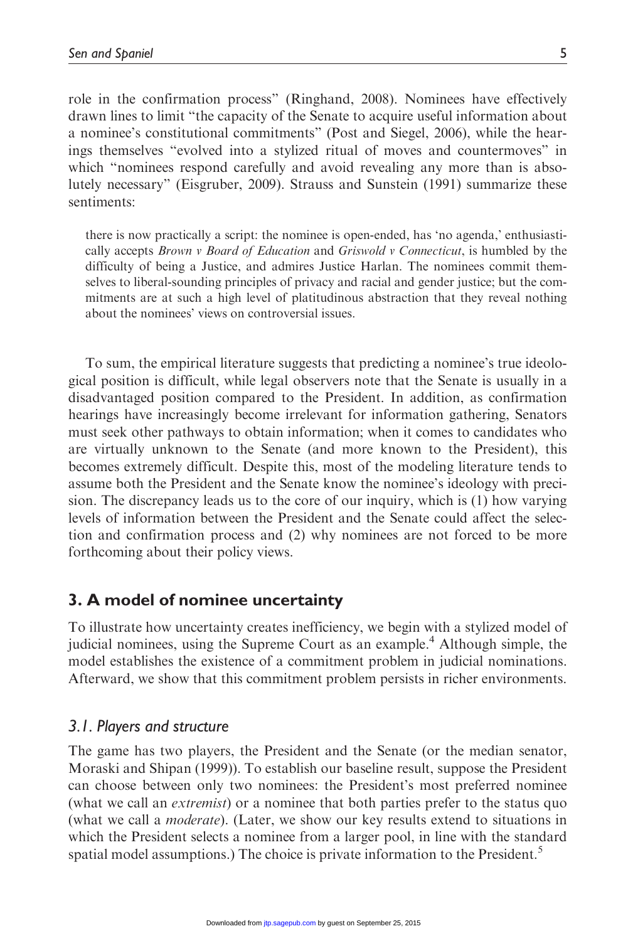role in the confirmation process'' (Ringhand, 2008). Nominees have effectively drawn lines to limit ''the capacity of the Senate to acquire useful information about a nominee's constitutional commitments'' (Post and Siegel, 2006), while the hearings themselves ''evolved into a stylized ritual of moves and countermoves'' in which "nominees respond carefully and avoid revealing any more than is absolutely necessary'' (Eisgruber, 2009). Strauss and Sunstein (1991) summarize these sentiments:

there is now practically a script: the nominee is open-ended, has 'no agenda,' enthusiastically accepts Brown v Board of Education and Griswold v Connecticut, is humbled by the difficulty of being a Justice, and admires Justice Harlan. The nominees commit themselves to liberal-sounding principles of privacy and racial and gender justice; but the commitments are at such a high level of platitudinous abstraction that they reveal nothing about the nominees' views on controversial issues.

To sum, the empirical literature suggests that predicting a nominee's true ideological position is difficult, while legal observers note that the Senate is usually in a disadvantaged position compared to the President. In addition, as confirmation hearings have increasingly become irrelevant for information gathering, Senators must seek other pathways to obtain information; when it comes to candidates who are virtually unknown to the Senate (and more known to the President), this becomes extremely difficult. Despite this, most of the modeling literature tends to assume both the President and the Senate know the nominee's ideology with precision. The discrepancy leads us to the core of our inquiry, which is (1) how varying levels of information between the President and the Senate could affect the selection and confirmation process and (2) why nominees are not forced to be more forthcoming about their policy views.

## 3. A model of nominee uncertainty

To illustrate how uncertainty creates inefficiency, we begin with a stylized model of judicial nominees, using the Supreme Court as an example.<sup>4</sup> Although simple, the model establishes the existence of a commitment problem in judicial nominations. Afterward, we show that this commitment problem persists in richer environments.

## 3.1. Players and structure

The game has two players, the [President](http://jtp.sagepub.com/) and the Senate (or the median senator, Moraski and Shipan (1999)). To establish our baseline result, suppose the President can choose between only two nominees: the President's most preferred nominee (what we call an extremist) or a nominee that both parties prefer to the status quo (what we call a moderate). (Later, we show our key results extend to situations in which the President selects a nominee from a larger pool, in line with the standard spatial model assumptions.) The choice is private information to the President.<sup>5</sup>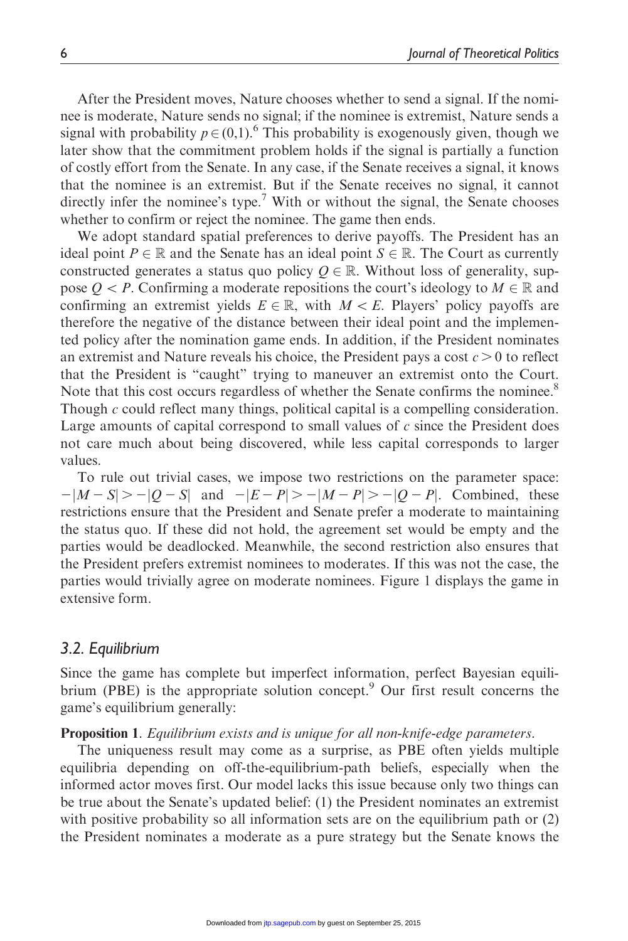After the President moves, Nature chooses whether to send a signal. If the nominee is moderate, Nature sends no signal; if the nominee is extremist, Nature sends a signal with probability  $p \in (0,1)$ .<sup>6</sup> This probability is exogenously given, though we later show that the commitment problem holds if the signal is partially a function of costly effort from the Senate. In any case, if the Senate receives a signal, it knows that the nominee is an extremist. But if the Senate receives no signal, it cannot directly infer the nominee's type.<sup>7</sup> With or without the signal, the Senate chooses whether to confirm or reject the nominee. The game then ends.

We adopt standard spatial preferences to derive payoffs. The President has an ideal point  $P \in \mathbb{R}$  and the Senate has an ideal point  $S \in \mathbb{R}$ . The Court as currently constructed generates a status quo policy  $Q \in \mathbb{R}$ . Without loss of generality, suppose  $Q \lt P$ . Confirming a moderate repositions the court's ideology to  $M \in \mathbb{R}$  and confirming an extremist yields  $E \in \mathbb{R}$ , with  $M \lt E$ . Players' policy payoffs are therefore the negative of the distance between their ideal point and the implemented policy after the nomination game ends. In addition, if the President nominates an extremist and Nature reveals his choice, the President pays a cost  $c > 0$  to reflect that the President is ''caught'' trying to maneuver an extremist onto the Court. Note that this cost occurs regardless of whether the Senate confirms the nominee.<sup>8</sup> Though c could reflect many things, political capital is a compelling consideration. Large amounts of capital correspond to small values of  $c$  since the President does not care much about being discovered, while less capital corresponds to larger values.

To rule out trivial cases, we impose two restrictions on the parameter space:  $-|M-S| > -|Q-S|$  and  $-|E-P| > -|M-P| > -|Q-P|$ . Combined, these restrictions ensure that the President and Senate prefer a moderate to maintaining the status quo. If these did not hold, the agreement set would be empty and the parties would be deadlocked. Meanwhile, the second restriction also ensures that the President prefers extremist nominees to moderates. If this was not the case, the parties would trivially agree on moderate nominees. Figure 1 displays the game in extensive form.

#### 3.2. Equilibrium

Since the game has complete but imperfect information, perfect Bayesian equilibrium (PBE) is the appropriate solution concept.<sup>9</sup> Our first result concerns the game's equilibrium generally:

#### Proposition 1. Equilibrium exists [and is uniq](http://jtp.sagepub.com/)ue for all non-knife-edge parameters.

The uniqueness result may come as a surprise, as PBE often yields multiple equilibria depending on off-the-equilibrium-path beliefs, especially when the informed actor moves first. Our model lacks this issue because only two things can be true about the Senate's updated belief: (1) the President nominates an extremist with positive probability so all information sets are on the equilibrium path or (2) the President nominates a moderate as a pure strategy but the Senate knows the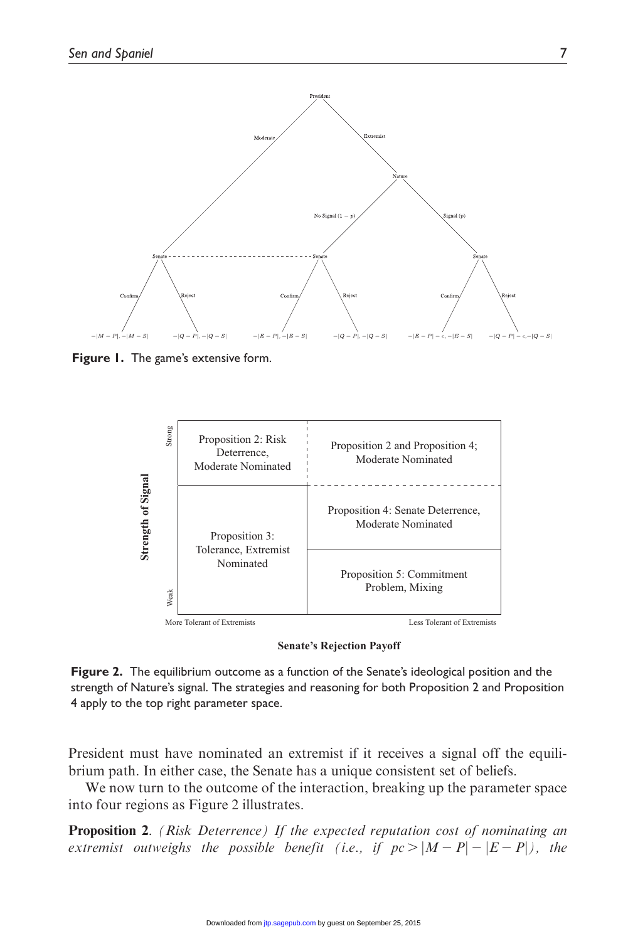

Figure 1. The game's extensive form.



**Senate's Rejection Payoff**



President must have nominated an extremist if it receives a signal off the equilibrium path. In either case, the Senate has a unique consistent set of beliefs.

We now turn to the outcome of the interaction, breaking up the parameter space into four regions as Figure 2 illustrates.

Proposition 2. (Risk Deterrence) If the expected reputation cost of nominating an extremist outweighs the possible benefit (i.e., if  $pc > |M-P| - |E-P|$ ), the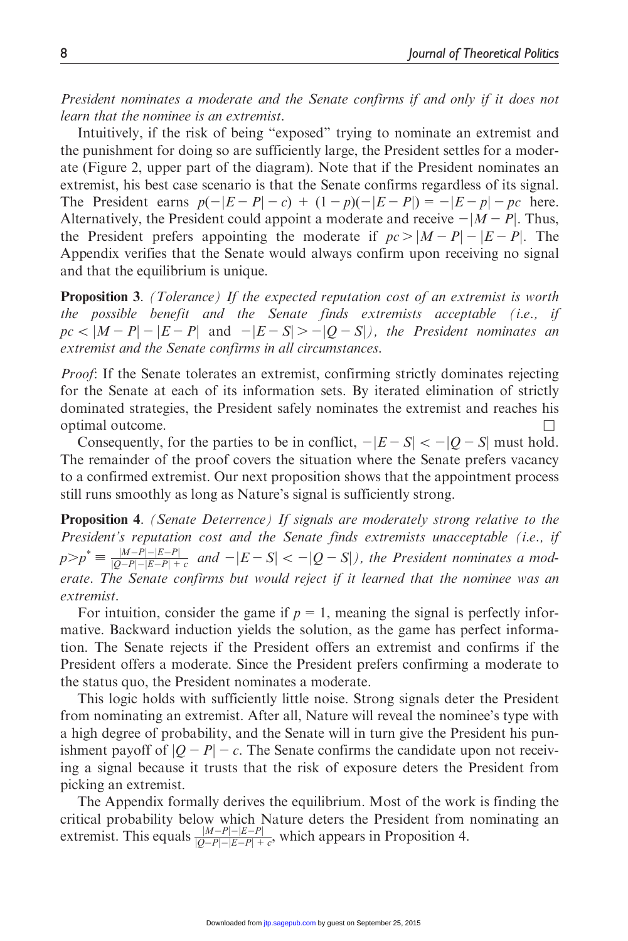President nominates a moderate and the Senate confirms if and only if it does not learn that the nominee is an extremist.

Intuitively, if the risk of being ''exposed'' trying to nominate an extremist and the punishment for doing so are sufficiently large, the President settles for a moderate (Figure 2, upper part of the diagram). Note that if the President nominates an extremist, his best case scenario is that the Senate confirms regardless of its signal. The President earns  $p(-|E - P| - c) + (1 - p)(-|E - P|) = -|E - p| - pc$  here. Alternatively, the President could appoint a moderate and receive  $-|M-P|$ . Thus, the President prefers appointing the moderate if  $pc > |M-P| - |E-P|$ . The Appendix verifies that the Senate would always confirm upon receiving no signal and that the equilibrium is unique.

**Proposition 3.** (Tolerance) If the expected reputation cost of an extremist is worth the possible benefit and the Senate finds extremists acceptable (i.e., if  $pc < |M-P| - |E-P|$  and  $-|E-S| > -|Q-S|$ , the President nominates an extremist and the Senate confirms in all circumstances.

Proof: If the Senate tolerates an extremist, confirming strictly dominates rejecting for the Senate at each of its information sets. By iterated elimination of strictly dominated strategies, the President safely nominates the extremist and reaches his  $optimal$  outcome.  $\Box$ 

Consequently, for the parties to be in conflict,  $-|E - S| < -|Q - S|$  must hold. The remainder of the proof covers the situation where the Senate prefers vacancy to a confirmed extremist. Our next proposition shows that the appointment process still runs smoothly as long as Nature's signal is sufficiently strong.

Proposition 4. (Senate Deterrence) If signals are moderately strong relative to the President's reputation cost and the Senate finds extremists unacceptable (i.e., if  $p > p^* \equiv \frac{|M-P|-|E-P|}{|O-P|-|E-P|+1}$  $\frac{|M-P|-|E-P|}{|Q-P|-|E-P|+\epsilon}$  and  $-|E-S| < -|Q-S|$ ), the President nominates a moderate. The Senate confirms but would reject if it learned that the nominee was an extremist.

For intuition, consider the game if  $p = 1$ , meaning the signal is perfectly informative. Backward induction yields the solution, as the game has perfect information. The Senate rejects if the President offers an extremist and confirms if the President offers a moderate. Since the President prefers confirming a moderate to the status quo, the President nominates a moderate.

This logic holds with sufficiently little noise. Strong signals deter the President from nominating an extremist. After all, Nature will reveal the nominee's type with a high degree of probability, and [the Senat](http://jtp.sagepub.com/)e will in turn give the President his punishment payoff of  $|Q - P| - c$ . The Senate confirms the candidate upon not receiving a signal because it trusts that the risk of exposure deters the President from picking an extremist.

The Appendix formally derives the equilibrium. Most of the work is finding the critical probability below which Nature deters the President from nominating an extremist. This equals  $\frac{|M-P|-|E-P|}{|Q-P|-|E-P|+|P|}$  $\frac{|M-P|-|E-P|}{|Q-P|-|E-P|+\epsilon}$ , which appears in Proposition 4.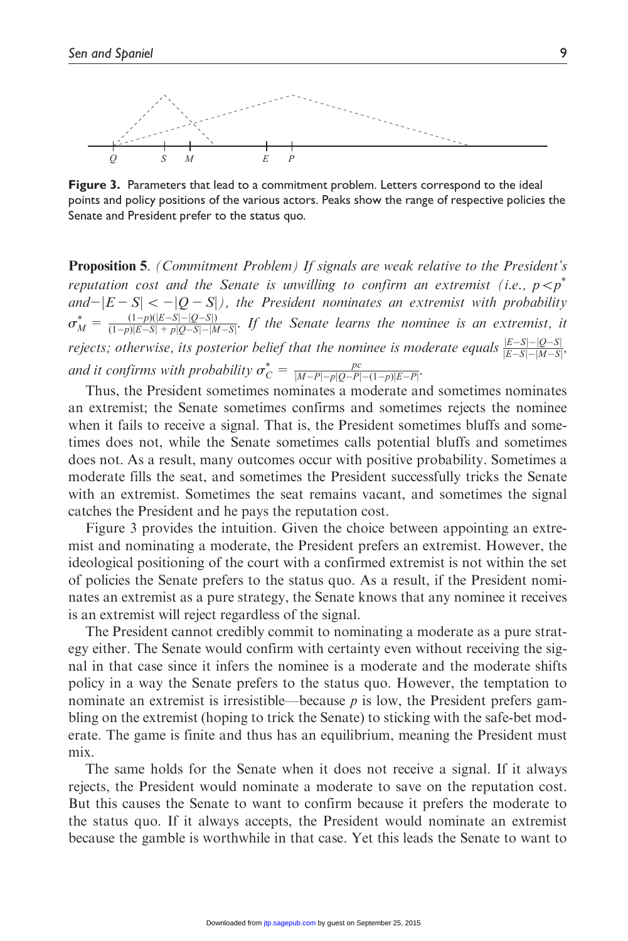



Figure 3. Parameters that lead to a commitment problem. Letters correspond to the ideal points and policy positions of the various actors. Peaks show the range of respective policies the Senate and President prefer to the status quo.

Proposition 5. (Commitment Problem) If signals are weak relative to the President's reputation cost and the Senate is unwilling to confirm an extremist (i.e.,  $p < p^*$ ) and  $-|E - S| < -|Q - S|$ , the President nominates an extremist with probability  $\sigma_M^* = \frac{(1-p)(|E-S|-|Q-S|)}{(1-p)|E-S| + p|Q-S|-|h|}$  $\frac{(1-p)(|E-S|-|Q-S|)}{(1-p)|E-S|+p|Q-S|-|M-S|}$ . If the Senate learns the nominee is an extremist, it rejects; otherwise, its posterior belief that the nominee is moderate equals  $\frac{|E-S|-|Q-S|}{|E-S|-|M-S|}$  $\frac{|E-S|-|Q-S|}{|E-S|-|M-S|},$ and it confirms with probability  $\sigma_C^* = \frac{pc}{|M-P|-p|Q-P|-(1-p)|E-P|}.$ 

Thus, the President sometimes nominates a moderate and sometimes nominates an extremist; the Senate sometimes confirms and sometimes rejects the nominee when it fails to receive a signal. That is, the President sometimes bluffs and sometimes does not, while the Senate sometimes calls potential bluffs and sometimes does not. As a result, many outcomes occur with positive probability. Sometimes a moderate fills the seat, and sometimes the President successfully tricks the Senate with an extremist. Sometimes the seat remains vacant, and sometimes the signal catches the President and he pays the reputation cost.

Figure 3 provides the intuition. Given the choice between appointing an extremist and nominating a moderate, the President prefers an extremist. However, the ideological positioning of the court with a confirmed extremist is not within the set of policies the Senate prefers to the status quo. As a result, if the President nominates an extremist as a pure strategy, the Senate knows that any nominee it receives is an extremist will reject regardless of the signal.

The President cannot credibly commit to nominating a moderate as a pure strategy either. The Senate would confirm with certainty even without receiving the signal in that case since it infers the nominee is a moderate and the moderate shifts policy in a way the Senate prefers to the status quo. However, the temptation to nominate an extremist is irresistible—because  $p$  is low, the President prefers gambling on the extremist (hoping to trick the Senate) to sticking with the safe-bet moderate. The game is finite and th[us has an](http://jtp.sagepub.com/) equilibrium, meaning the President must mix.

The same holds for the Senate when it does not receive a signal. If it always rejects, the President would nominate a moderate to save on the reputation cost. But this causes the Senate to want to confirm because it prefers the moderate to the status quo. If it always accepts, the President would nominate an extremist because the gamble is worthwhile in that case. Yet this leads the Senate to want to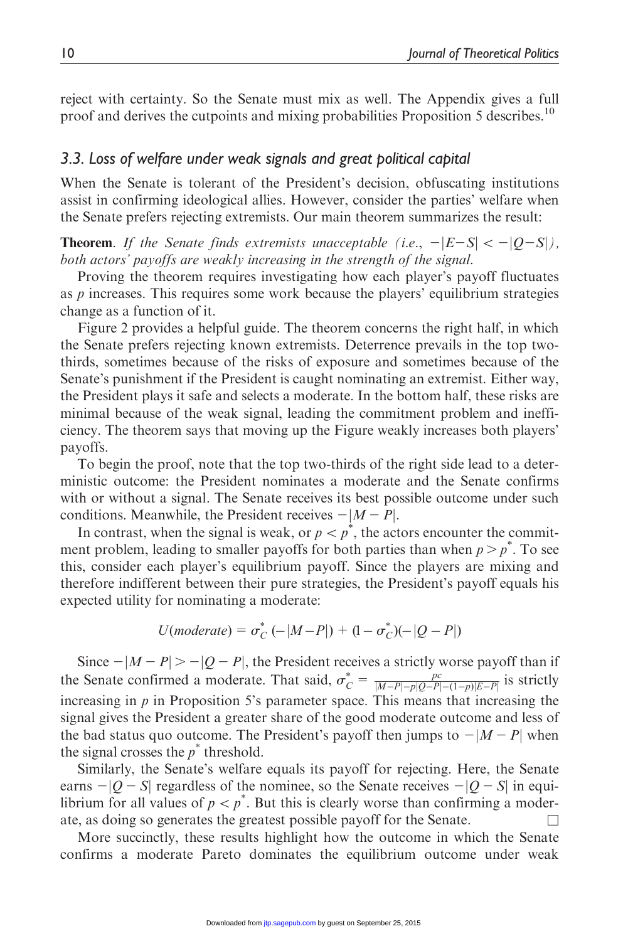reject with certainty. So the Senate must mix as well. The Appendix gives a full proof and derives the cutpoints and mixing probabilities Proposition 5 describes.<sup>10</sup>

## 3.3. Loss of welfare under weak signals and great political capital

When the Senate is tolerant of the President's decision, obfuscating institutions assist in confirming ideological allies. However, consider the parties' welfare when the Senate prefers rejecting extremists. Our main theorem summarizes the result:

**Theorem.** If the Senate finds extremists unacceptable (i.e.,  $-|E-S| < -|Q-S|$ ), both actors' payoffs are weakly increasing in the strength of the signal.

Proving the theorem requires investigating how each player's payoff fluctuates as  $p$  increases. This requires some work because the players' equilibrium strategies change as a function of it.

Figure 2 provides a helpful guide. The theorem concerns the right half, in which the Senate prefers rejecting known extremists. Deterrence prevails in the top twothirds, sometimes because of the risks of exposure and sometimes because of the Senate's punishment if the President is caught nominating an extremist. Either way, the President plays it safe and selects a moderate. In the bottom half, these risks are minimal because of the weak signal, leading the commitment problem and inefficiency. The theorem says that moving up the Figure weakly increases both players' payoffs.

To begin the proof, note that the top two-thirds of the right side lead to a deterministic outcome: the President nominates a moderate and the Senate confirms with or without a signal. The Senate receives its best possible outcome under such conditions. Meanwhile, the President receives  $-|M - P|$ .

In contrast, when the signal is weak, or  $p < p^*$ , the actors encounter the commitment problem, leading to smaller payoffs for both parties than when  $p > p^*$ . To see this, consider each player's equilibrium payoff. Since the players are mixing and therefore indifferent between their pure strategies, the President's payoff equals his expected utility for nominating a moderate:

$$
U(modelrate) = \sigma_C^* (-|M-P|) + (1 - \sigma_C^*)(-|Q-P|)
$$

Since  $-|M - P| > -|Q - P|$ , the President receives a strictly worse payoff than if the Senate confirmed a moderate. That said,  $\sigma_C^* = \frac{pc}{|M-P|-p|Q-P|-(1-p)|E-P|}$  is strictly increasing in  $p$  in Proposition 5's parameter space. This means that increasing the signal gives the President a greater share of the good moderate outcome and less of the bad status quo outcome. The [President](http://jtp.sagepub.com/)'s payoff then jumps to  $-|M-P|$  when the signal crosses the  $p^*$  threshold.

Similarly, the Senate's welfare equals its payoff for rejecting. Here, the Senate earns  $-|Q - S|$  regardless of the nominee, so the Senate receives  $-|Q - S|$  in equilibrium for all values of  $p < p^*$ . But this is clearly worse than confirming a moderate, as doing so generates the greatest possible payoff for the Senate.

More succinctly, these results highlight how the outcome in which the Senate confirms a moderate Pareto dominates the equilibrium outcome under weak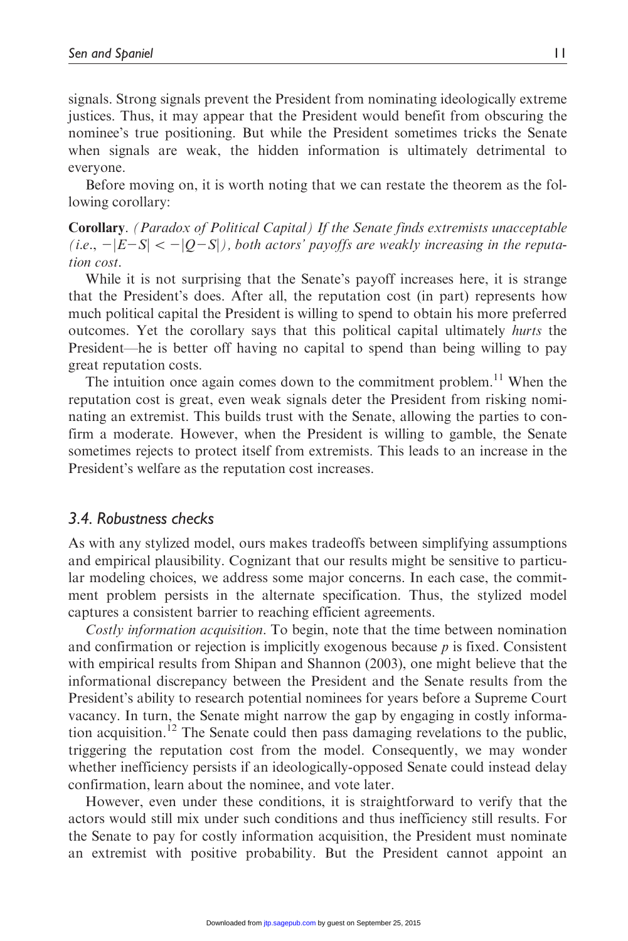signals. Strong signals prevent the President from nominating ideologically extreme justices. Thus, it may appear that the President would benefit from obscuring the nominee's true positioning. But while the President sometimes tricks the Senate when signals are weak, the hidden information is ultimately detrimental to everyone.

Before moving on, it is worth noting that we can restate the theorem as the following corollary:

Corollary. (Paradox of Political Capital) If the Senate finds extremists unacceptable  $(i.e., -|E-S| < -|Q-S|)$ , both actors' payoffs are weakly increasing in the reputation cost.

While it is not surprising that the Senate's payoff increases here, it is strange that the President's does. After all, the reputation cost (in part) represents how much political capital the President is willing to spend to obtain his more preferred outcomes. Yet the corollary says that this political capital ultimately hurts the President—he is better off having no capital to spend than being willing to pay great reputation costs.

The intuition once again comes down to the commitment problem.<sup>11</sup> When the reputation cost is great, even weak signals deter the President from risking nominating an extremist. This builds trust with the Senate, allowing the parties to confirm a moderate. However, when the President is willing to gamble, the Senate sometimes rejects to protect itself from extremists. This leads to an increase in the President's welfare as the reputation cost increases.

## 3.4. Robustness checks

As with any stylized model, ours makes tradeoffs between simplifying assumptions and empirical plausibility. Cognizant that our results might be sensitive to particular modeling choices, we address some major concerns. In each case, the commitment problem persists in the alternate specification. Thus, the stylized model captures a consistent barrier to reaching efficient agreements.

Costly information acquisition. To begin, note that the time between nomination and confirmation or rejection is implicitly exogenous because  $p$  is fixed. Consistent with empirical results from Shipan and Shannon (2003), one might believe that the informational discrepancy between the President and the Senate results from the President's ability to research potential nominees for years before a Supreme Court vacancy. In turn, the Senate might narrow the gap by engaging in costly information acquisition.<sup>12</sup> The Senate c[ould then](http://jtp.sagepub.com/) pass damaging revelations to the public, triggering the reputation cost from the model. Consequently, we may wonder whether inefficiency persists if an ideologically-opposed Senate could instead delay confirmation, learn about the nominee, and vote later.

However, even under these conditions, it is straightforward to verify that the actors would still mix under such conditions and thus inefficiency still results. For the Senate to pay for costly information acquisition, the President must nominate an extremist with positive probability. But the President cannot appoint an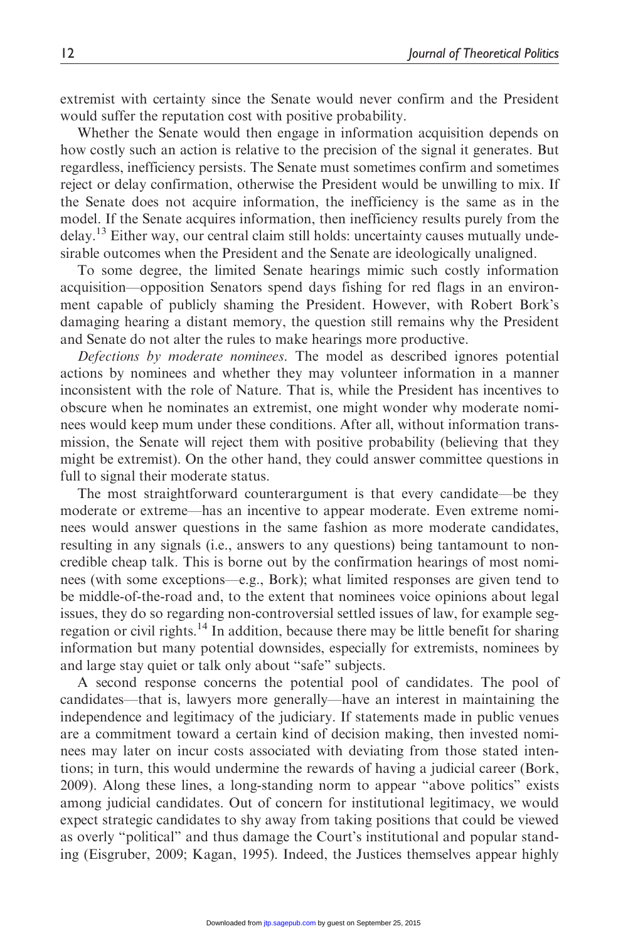extremist with certainty since the Senate would never confirm and the President would suffer the reputation cost with positive probability.

Whether the Senate would then engage in information acquisition depends on how costly such an action is relative to the precision of the signal it generates. But regardless, inefficiency persists. The Senate must sometimes confirm and sometimes reject or delay confirmation, otherwise the President would be unwilling to mix. If the Senate does not acquire information, the inefficiency is the same as in the model. If the Senate acquires information, then inefficiency results purely from the delay.13 Either way, our central claim still holds: uncertainty causes mutually undesirable outcomes when the President and the Senate are ideologically unaligned.

To some degree, the limited Senate hearings mimic such costly information acquisition—opposition Senators spend days fishing for red flags in an environment capable of publicly shaming the President. However, with Robert Bork's damaging hearing a distant memory, the question still remains why the President and Senate do not alter the rules to make hearings more productive.

Defections by moderate nominees. The model as described ignores potential actions by nominees and whether they may volunteer information in a manner inconsistent with the role of Nature. That is, while the President has incentives to obscure when he nominates an extremist, one might wonder why moderate nominees would keep mum under these conditions. After all, without information transmission, the Senate will reject them with positive probability (believing that they might be extremist). On the other hand, they could answer committee questions in full to signal their moderate status.

The most straightforward counterargument is that every candidate—be they moderate or extreme—has an incentive to appear moderate. Even extreme nominees would answer questions in the same fashion as more moderate candidates, resulting in any signals (i.e., answers to any questions) being tantamount to noncredible cheap talk. This is borne out by the confirmation hearings of most nominees (with some exceptions—e.g., Bork); what limited responses are given tend to be middle-of-the-road and, to the extent that nominees voice opinions about legal issues, they do so regarding non-controversial settled issues of law, for example segregation or civil rights.<sup>14</sup> In addition, because there may be little benefit for sharing information but many potential downsides, especially for extremists, nominees by and large stay quiet or talk only about ''safe'' subjects.

A second response concerns the potential pool of candidates. The pool of candidates—that is, lawyers more generally—have an interest in maintaining the independence and legitimacy of the judiciary. If statements made in public venues are a commitment toward a cert[ain kind o](http://jtp.sagepub.com/)f decision making, then invested nominees may later on incur costs associated with deviating from those stated intentions; in turn, this would undermine the rewards of having a judicial career (Bork, 2009). Along these lines, a long-standing norm to appear ''above politics'' exists among judicial candidates. Out of concern for institutional legitimacy, we would expect strategic candidates to shy away from taking positions that could be viewed as overly ''political'' and thus damage the Court's institutional and popular standing (Eisgruber, 2009; Kagan, 1995). Indeed, the Justices themselves appear highly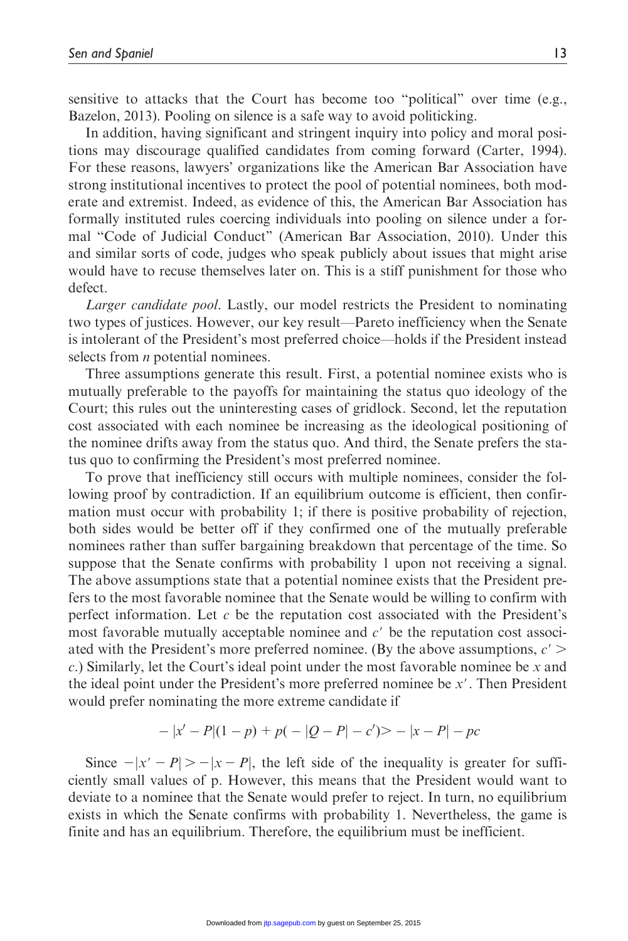sensitive to attacks that the Court has become too ''political'' over time (e.g., Bazelon, 2013). Pooling on silence is a safe way to avoid politicking.

In addition, having significant and stringent inquiry into policy and moral positions may discourage qualified candidates from coming forward (Carter, 1994). For these reasons, lawyers' organizations like the American Bar Association have strong institutional incentives to protect the pool of potential nominees, both moderate and extremist. Indeed, as evidence of this, the American Bar Association has formally instituted rules coercing individuals into pooling on silence under a formal ''Code of Judicial Conduct'' (American Bar Association, 2010). Under this and similar sorts of code, judges who speak publicly about issues that might arise would have to recuse themselves later on. This is a stiff punishment for those who defect.

Larger candidate pool. Lastly, our model restricts the President to nominating two types of justices. However, our key result—Pareto inefficiency when the Senate is intolerant of the President's most preferred choice—holds if the President instead selects from *n* potential nominees.

Three assumptions generate this result. First, a potential nominee exists who is mutually preferable to the payoffs for maintaining the status quo ideology of the Court; this rules out the uninteresting cases of gridlock. Second, let the reputation cost associated with each nominee be increasing as the ideological positioning of the nominee drifts away from the status quo. And third, the Senate prefers the status quo to confirming the President's most preferred nominee.

To prove that inefficiency still occurs with multiple nominees, consider the following proof by contradiction. If an equilibrium outcome is efficient, then confirmation must occur with probability 1; if there is positive probability of rejection, both sides would be better off if they confirmed one of the mutually preferable nominees rather than suffer bargaining breakdown that percentage of the time. So suppose that the Senate confirms with probability 1 upon not receiving a signal. The above assumptions state that a potential nominee exists that the President prefers to the most favorable nominee that the Senate would be willing to confirm with perfect information. Let  $c$  be the reputation cost associated with the President's most favorable mutually acceptable nominee and  $c'$  be the reputation cost associated with the President's more preferred nominee. (By the above assumptions,  $c'$ )  $c$ .) Similarly, let the Court's ideal point under the most favorable nominee be x and the ideal point under the President's more preferred nominee be  $x'$ . Then President would prefer nominating the more extreme candidate if

$$
-|x'-P|(1-p) + p(-|Q-P|-c') > -|x-P|-pc
$$

Since  $-|x' - P| > -|x - P|$ , the left side of the inequality is greater for sufficiently small values of p. However, this means that the President would want to deviate to a nominee that the Senate would prefer to reject. In turn, no equilibrium exists in which the Senate confirms with probability 1. Nevertheless, the game is finite and has an equilibrium. Therefore, the equilibrium must be inefficient.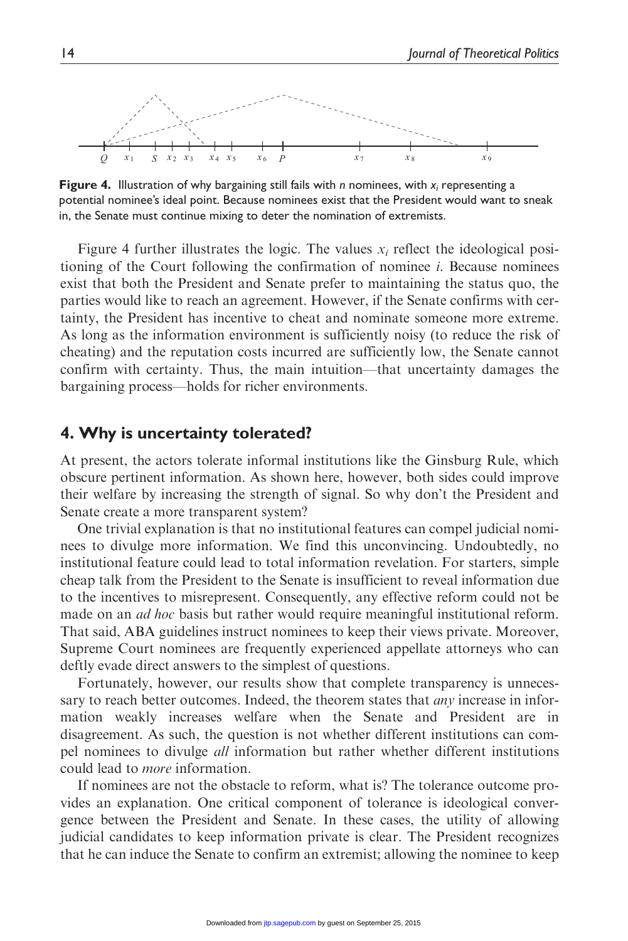



Figure 4. Illustration of why bargaining still fails with n nominees, with  $x_i$  representing a potential nominee's ideal point. Because nominees exist that the President would want to sneak in, the Senate must continue mixing to deter the nomination of extremists.

Figure 4 further illustrates the logic. The values  $x_i$  reflect the ideological positioning of the Court following the confirmation of nominee i. Because nominees exist that both the President and Senate prefer to maintaining the status quo, the parties would like to reach an agreement. However, if the Senate confirms with certainty, the President has incentive to cheat and nominate someone more extreme. As long as the information environment is sufficiently noisy (to reduce the risk of cheating) and the reputation costs incurred are sufficiently low, the Senate cannot confirm with certainty. Thus, the main intuition—that uncertainty damages the bargaining process—holds for richer environments.

## 4. Why is uncertainty tolerated?

At present, the actors tolerate informal institutions like the Ginsburg Rule, which obscure pertinent information. As shown here, however, both sides could improve their welfare by increasing the strength of signal. So why don't the President and Senate create a more transparent system?

One trivial explanation is that no institutional features can compel judicial nominees to divulge more information. We find this unconvincing. Undoubtedly, no institutional feature could lead to total information revelation. For starters, simple cheap talk from the President to the Senate is insufficient to reveal information due to the incentives to misrepresent. Consequently, any effective reform could not be made on an *ad hoc* basis but rather would require meaningful institutional reform. That said, ABA guidelines instruct nominees to keep their views private. Moreover, Supreme Court nominees are frequently experienced appellate attorneys who can deftly evade direct answers to the simplest of questions.

Fortunately, however, our results show that complete transparency is unnecessary to reach better outcomes. Indeed, the theorem states that *any* increase in information weakly increases welfare when the Senate and President are in disagreement. As such, the quest[ion is not](http://jtp.sagepub.com/) whether different institutions can compel nominees to divulge *all* information but rather whether different institutions could lead to more information.

If nominees are not the obstacle to reform, what is? The tolerance outcome provides an explanation. One critical component of tolerance is ideological convergence between the President and Senate. In these cases, the utility of allowing judicial candidates to keep information private is clear. The President recognizes that he can induce the Senate to confirm an extremist; allowing the nominee to keep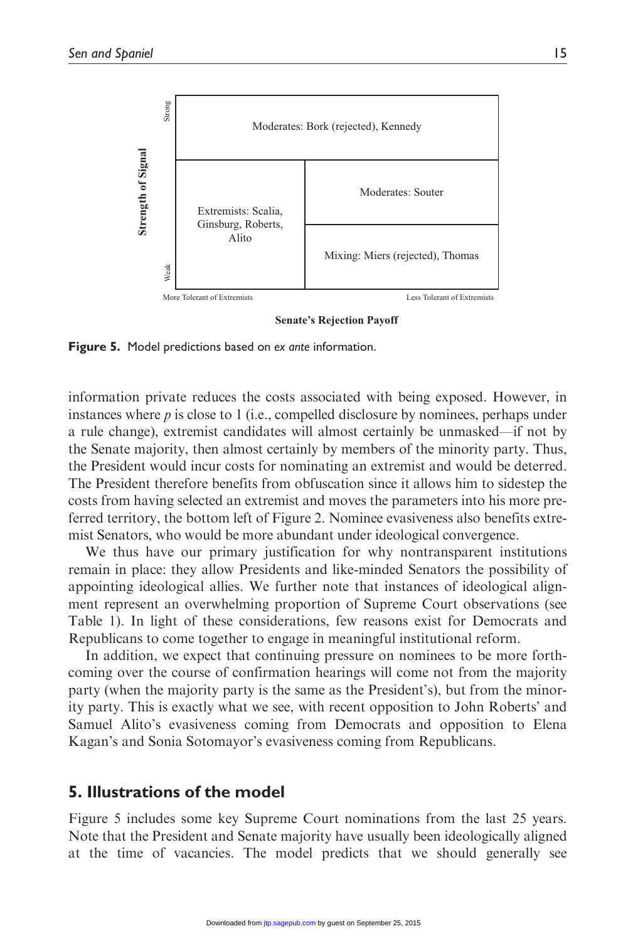

**Senate's Rejection Payoff**

Figure 5. Model predictions based on ex ante information.

information private reduces the costs associated with being exposed. However, in instances where  $p$  is close to 1 (i.e., compelled disclosure by nominees, perhaps under a rule change), extremist candidates will almost certainly be unmasked—if not by the Senate majority, then almost certainly by members of the minority party. Thus, the President would incur costs for nominating an extremist and would be deterred. The President therefore benefits from obfuscation since it allows him to sidestep the costs from having selected an extremist and moves the parameters into his more preferred territory, the bottom left of Figure 2. Nominee evasiveness also benefits extremist Senators, who would be more abundant under ideological convergence.

We thus have our primary justification for why nontransparent institutions remain in place: they allow Presidents and like-minded Senators the possibility of appointing ideological allies. We further note that instances of ideological alignment represent an overwhelming proportion of Supreme Court observations (see Table 1). In light of these considerations, few reasons exist for Democrats and Republicans to come together to engage in meaningful institutional reform.

In addition, we expect that continuing pressure on nominees to be more forthcoming over the course of confirmation hearings will come not from the majority party (when the majority party is the same as the President's), but from the minority party. This is exactly what we see, with recent opposition to John Roberts' and Samuel Alito's evasiveness coming from Democrats and opposition to Elena Kagan's and Sonia Sotomayor's [evasivene](http://jtp.sagepub.com/)ss coming from Republicans.

## 5. Illustrations of the model

Figure 5 includes some key Supreme Court nominations from the last 25 years. Note that the President and Senate majority have usually been ideologically aligned at the time of vacancies. The model predicts that we should generally see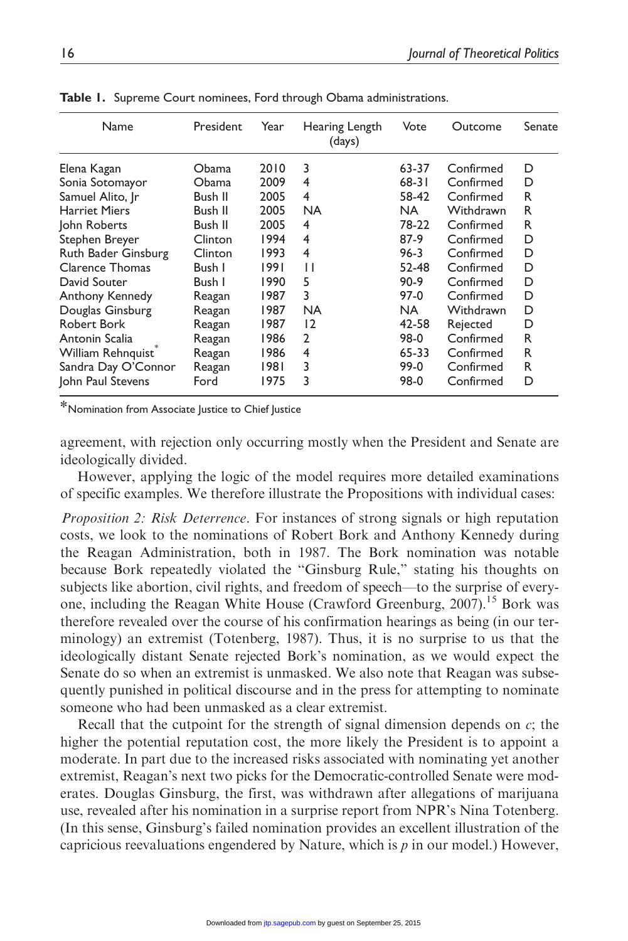16 Journal of Theoretical Politics

| Name                 | President | Year | Hearing Length<br>(days) | Vote      | Outcome   | Senate |
|----------------------|-----------|------|--------------------------|-----------|-----------|--------|
| Elena Kagan          | Obama     | 2010 | 3                        | 63-37     | Confirmed | D      |
| Sonia Sotomayor      | Obama     | 2009 | 4                        | $68-31$   | Confirmed | D      |
| Samuel Alito, Ir     | Bush II   | 2005 | 4                        | 58-42     | Confirmed | R      |
| <b>Harriet Miers</b> | Bush II   | 2005 | NA.                      | NA.       | Withdrawn | R      |
| John Roberts         | Bush II   | 2005 | 4                        | 78-22     | Confirmed | R      |
| Stephen Breyer       | Clinton   | 1994 | 4                        | 87-9      | Confirmed | D      |
| Ruth Bader Ginsburg  | Clinton   | 1993 | 4                        | $96 - 3$  | Confirmed | D      |
| Clarence Thomas      | Bush I    | 1991 | П                        | 52-48     | Confirmed | D      |
| David Souter         | Bush I    | 1990 | 5                        | $90-9$    | Confirmed | D      |
| Anthony Kennedy      | Reagan    | 1987 | 3                        | $97-0$    | Confirmed | D      |
| Douglas Ginsburg     | Reagan    | 1987 | NA.                      | NA.       | Withdrawn | D      |
| Robert Bork          | Reagan    | 1987 | 12                       | 42-58     | Rejected  | D      |
| Antonin Scalia       | Reagan    | 1986 | $\overline{2}$           | 98-0      | Confirmed | R      |
| William Rehnquist    | Reagan    | 1986 | 4                        | $65 - 33$ | Confirmed | R      |
| Sandra Day O'Connor  | Reagan    | 1981 | 3                        | 99-0      | Confirmed | R      |
| John Paul Stevens    | Ford      | 1975 | 3                        | 98-0      | Confirmed | D      |
|                      |           |      |                          |           |           |        |

Table 1. Supreme Court nominees, Ford through Obama administrations.

\*Nomination from Associate Justice to Chief Justice

agreement, with rejection only occurring mostly when the President and Senate are ideologically divided.

However, applying the logic of the model requires more detailed examinations of specific examples. We therefore illustrate the Propositions with individual cases:

Proposition 2: Risk Deterrence. For instances of strong signals or high reputation costs, we look to the nominations of Robert Bork and Anthony Kennedy during the Reagan Administration, both in 1987. The Bork nomination was notable because Bork repeatedly violated the ''Ginsburg Rule,'' stating his thoughts on subjects like abortion, civil rights, and freedom of speech—to the surprise of everyone, including the Reagan White House (Crawford Greenburg, 2007).<sup>15</sup> Bork was therefore revealed over the course of his confirmation hearings as being (in our terminology) an extremist (Totenberg, 1987). Thus, it is no surprise to us that the ideologically distant Senate rejected Bork's nomination, as we would expect the Senate do so when an extremist is unmasked. We also note that Reagan was subsequently punished in political discourse and in the press for attempting to nominate someone who had been unmasked as a clear extremist.

Recall that the cutpoint for the strength of signal dimension depends on  $c$ ; the higher the potential reputation c[ost, the m](http://jtp.sagepub.com/)ore likely the President is to appoint a moderate. In part due to the increased risks associated with nominating yet another extremist, Reagan's next two picks for the Democratic-controlled Senate were moderates. Douglas Ginsburg, the first, was withdrawn after allegations of marijuana use, revealed after his nomination in a surprise report from NPR's Nina Totenberg. (In this sense, Ginsburg's failed nomination provides an excellent illustration of the capricious reevaluations engendered by Nature, which is  $p$  in our model.) However,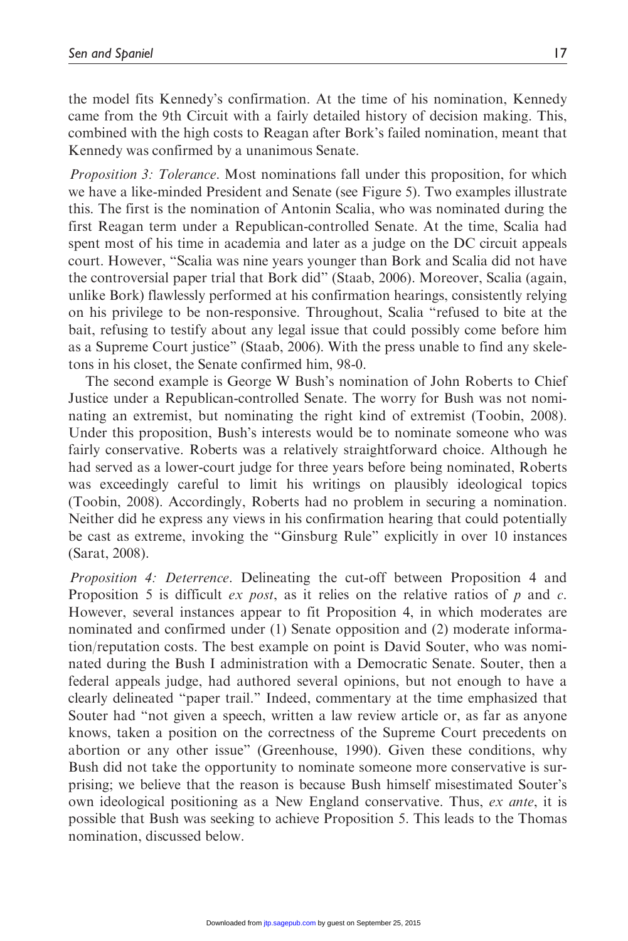the model fits Kennedy's confirmation. At the time of his nomination, Kennedy came from the 9th Circuit with a fairly detailed history of decision making. This, combined with the high costs to Reagan after Bork's failed nomination, meant that Kennedy was confirmed by a unanimous Senate.

Proposition 3: Tolerance. Most nominations fall under this proposition, for which we have a like-minded President and Senate (see Figure 5). Two examples illustrate this. The first is the nomination of Antonin Scalia, who was nominated during the first Reagan term under a Republican-controlled Senate. At the time, Scalia had spent most of his time in academia and later as a judge on the DC circuit appeals court. However, ''Scalia was nine years younger than Bork and Scalia did not have the controversial paper trial that Bork did'' (Staab, 2006). Moreover, Scalia (again, unlike Bork) flawlessly performed at his confirmation hearings, consistently relying on his privilege to be non-responsive. Throughout, Scalia ''refused to bite at the bait, refusing to testify about any legal issue that could possibly come before him as a Supreme Court justice'' (Staab, 2006). With the press unable to find any skeletons in his closet, the Senate confirmed him, 98-0.

The second example is George W Bush's nomination of John Roberts to Chief Justice under a Republican-controlled Senate. The worry for Bush was not nominating an extremist, but nominating the right kind of extremist (Toobin, 2008). Under this proposition, Bush's interests would be to nominate someone who was fairly conservative. Roberts was a relatively straightforward choice. Although he had served as a lower-court judge for three years before being nominated, Roberts was exceedingly careful to limit his writings on plausibly ideological topics (Toobin, 2008). Accordingly, Roberts had no problem in securing a nomination. Neither did he express any views in his confirmation hearing that could potentially be cast as extreme, invoking the ''Ginsburg Rule'' explicitly in over 10 instances (Sarat, 2008).

Proposition 4: Deterrence. Delineating the cut-off between Proposition 4 and Proposition 5 is difficult *ex post*, as it relies on the relative ratios of  $p$  and  $c$ . However, several instances appear to fit Proposition 4, in which moderates are nominated and confirmed under (1) Senate opposition and (2) moderate information/reputation costs. The best example on point is David Souter, who was nominated during the Bush I administration with a Democratic Senate. Souter, then a federal appeals judge, had authored several opinions, but not enough to have a clearly delineated ''paper trail.'' Indeed, commentary at the time emphasized that Souter had ''not given a speech, written a law review article or, as far as anyone knows, taken a position on th[e correctne](http://jtp.sagepub.com/)ss of the Supreme Court precedents on abortion or any other issue'' (Greenhouse, 1990). Given these conditions, why Bush did not take the opportunity to nominate someone more conservative is surprising; we believe that the reason is because Bush himself misestimated Souter's own ideological positioning as a New England conservative. Thus, ex ante, it is possible that Bush was seeking to achieve Proposition 5. This leads to the Thomas nomination, discussed below.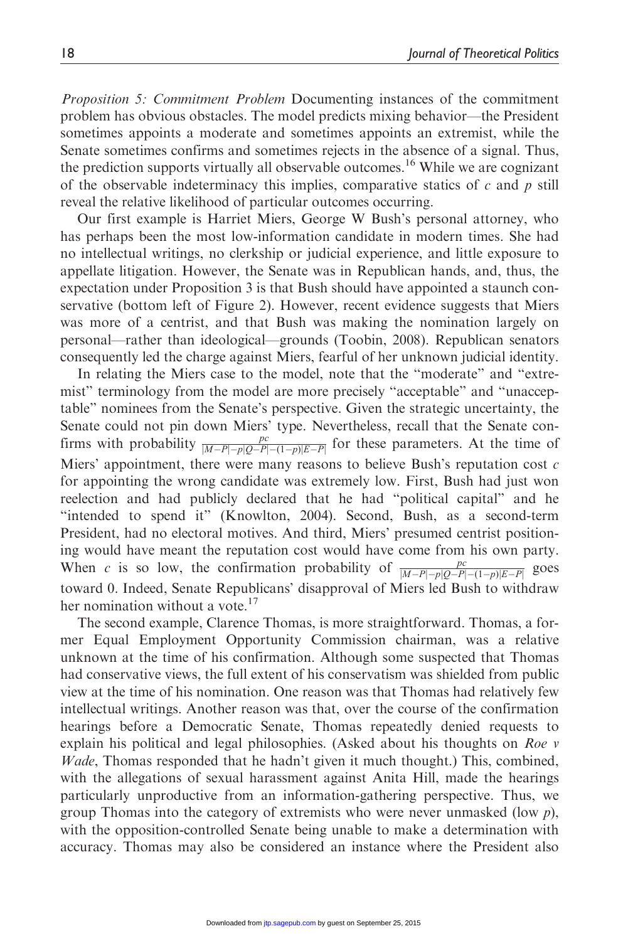Proposition 5: Commitment Problem Documenting instances of the commitment problem has obvious obstacles. The model predicts mixing behavior—the President sometimes appoints a moderate and sometimes appoints an extremist, while the Senate sometimes confirms and sometimes rejects in the absence of a signal. Thus, the prediction supports virtually all observable outcomes.<sup>16</sup> While we are cognizant of the observable indeterminacy this implies, comparative statics of  $c$  and  $p$  still reveal the relative likelihood of particular outcomes occurring.

Our first example is Harriet Miers, George W Bush's personal attorney, who has perhaps been the most low-information candidate in modern times. She had no intellectual writings, no clerkship or judicial experience, and little exposure to appellate litigation. However, the Senate was in Republican hands, and, thus, the expectation under Proposition 3 is that Bush should have appointed a staunch conservative (bottom left of Figure 2). However, recent evidence suggests that Miers was more of a centrist, and that Bush was making the nomination largely on personal—rather than ideological—grounds (Toobin, 2008). Republican senators consequently led the charge against Miers, fearful of her unknown judicial identity.

In relating the Miers case to the model, note that the ''moderate'' and ''extremist'' terminology from the model are more precisely ''acceptable'' and ''unacceptable'' nominees from the Senate's perspective. Given the strategic uncertainty, the Senate could not pin down Miers' type. Nevertheless, recall that the Senate confirms with probability  $\frac{pc}{|M-P|-p|Q-P|-(1-p)|E-P|}$  for these parameters. At the time of Miers' appointment, there were many reasons to believe Bush's reputation cost  $c$ for appointing the wrong candidate was extremely low. First, Bush had just won reelection and had publicly declared that he had ''political capital'' and he ''intended to spend it'' (Knowlton, 2004). Second, Bush, as a second-term President, had no electoral motives. And third, Miers' presumed centrist positioning would have meant the reputation cost would have come from his own party. When c is so low, the confirmation probability of  $\frac{pc}{|M-P|-p|Q-P|-(1-p)|E-P|}$  goes toward 0. Indeed, Senate Republicans' disapproval of Miers led Bush to withdraw her nomination without a vote. $17$ 

The second example, Clarence Thomas, is more straightforward. Thomas, a former Equal Employment Opportunity Commission chairman, was a relative unknown at the time of his confirmation. Although some suspected that Thomas had conservative views, the full extent of his conservatism was shielded from public view at the time of his nomination. One reason was that Thomas had relatively few intellectual writings. Another reason was that, over the course of the confirmation hearings before a Democratic Senate, Thomas repeatedly denied requests to explain his political and legal p[hilosophies](http://jtp.sagepub.com/). (Asked about his thoughts on Roe v Wade, Thomas responded that he hadn't given it much thought.) This, combined, with the allegations of sexual harassment against Anita Hill, made the hearings particularly unproductive from an information-gathering perspective. Thus, we group Thomas into the category of extremists who were never unmasked (low  $p$ ), with the opposition-controlled Senate being unable to make a determination with accuracy. Thomas may also be considered an instance where the President also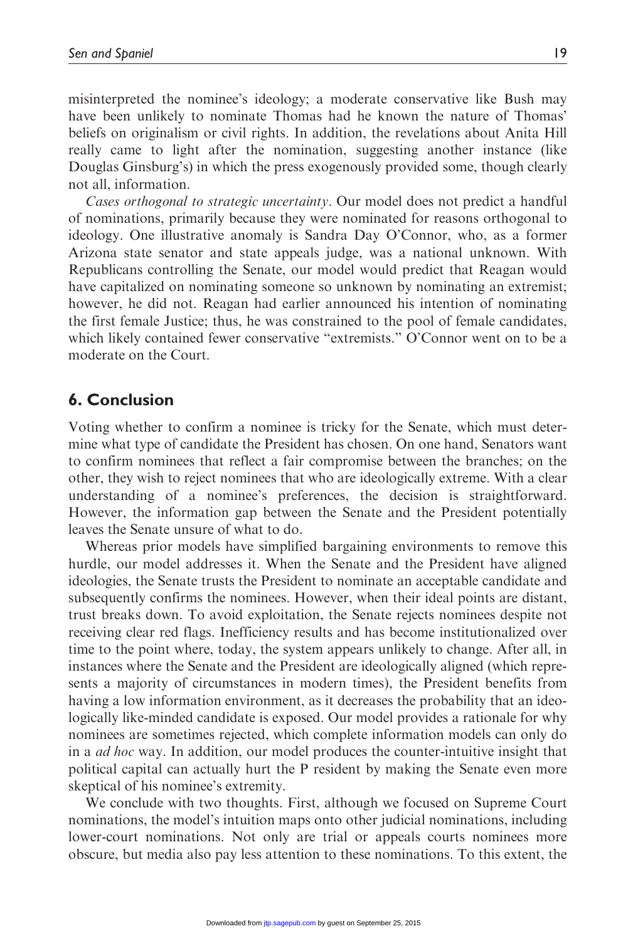misinterpreted the nominee's ideology; a moderate conservative like Bush may have been unlikely to nominate Thomas had he known the nature of Thomas' beliefs on originalism or civil rights. In addition, the revelations about Anita Hill really came to light after the nomination, suggesting another instance (like Douglas Ginsburg's) in which the press exogenously provided some, though clearly not all, information.

Cases orthogonal to strategic uncertainty. Our model does not predict a handful of nominations, primarily because they were nominated for reasons orthogonal to ideology. One illustrative anomaly is Sandra Day O'Connor, who, as a former Arizona state senator and state appeals judge, was a national unknown. With Republicans controlling the Senate, our model would predict that Reagan would have capitalized on nominating someone so unknown by nominating an extremist; however, he did not. Reagan had earlier announced his intention of nominating the first female Justice; thus, he was constrained to the pool of female candidates, which likely contained fewer conservative "extremists." O'Connor went on to be a moderate on the Court.

## 6. Conclusion

Voting whether to confirm a nominee is tricky for the Senate, which must determine what type of candidate the President has chosen. On one hand, Senators want to confirm nominees that reflect a fair compromise between the branches; on the other, they wish to reject nominees that who are ideologically extreme. With a clear understanding of a nominee's preferences, the decision is straightforward. However, the information gap between the Senate and the President potentially leaves the Senate unsure of what to do.

Whereas prior models have simplified bargaining environments to remove this hurdle, our model addresses it. When the Senate and the President have aligned ideologies, the Senate trusts the President to nominate an acceptable candidate and subsequently confirms the nominees. However, when their ideal points are distant, trust breaks down. To avoid exploitation, the Senate rejects nominees despite not receiving clear red flags. Inefficiency results and has become institutionalized over time to the point where, today, the system appears unlikely to change. After all, in instances where the Senate and the President are ideologically aligned (which represents a majority of circumstances in modern times), the President benefits from having a low information environment, as it decreases the probability that an ideologically like-minded candidate is exposed. Our model provides a rationale for why nominees are sometimes rejecte[d, which c](http://jtp.sagepub.com/)omplete information models can only do in a ad hoc way. In addition, our model produces the counter-intuitive insight that political capital can actually hurt the P resident by making the Senate even more skeptical of his nominee's extremity.

We conclude with two thoughts. First, although we focused on Supreme Court nominations, the model's intuition maps onto other judicial nominations, including lower-court nominations. Not only are trial or appeals courts nominees more obscure, but media also pay less attention to these nominations. To this extent, the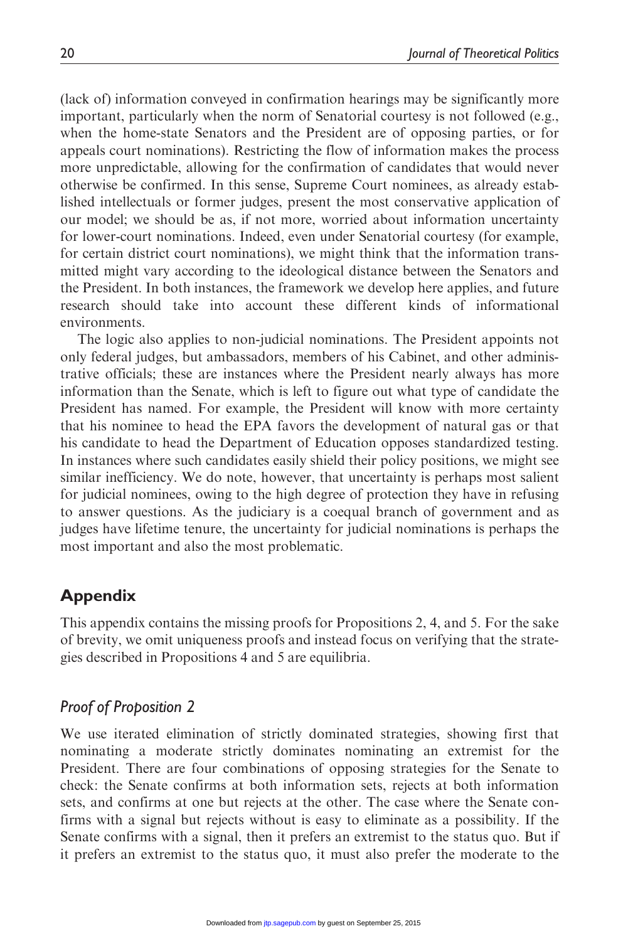(lack of) information conveyed in confirmation hearings may be significantly more important, particularly when the norm of Senatorial courtesy is not followed (e.g., when the home-state Senators and the President are of opposing parties, or for appeals court nominations). Restricting the flow of information makes the process more unpredictable, allowing for the confirmation of candidates that would never otherwise be confirmed. In this sense, Supreme Court nominees, as already established intellectuals or former judges, present the most conservative application of our model; we should be as, if not more, worried about information uncertainty for lower-court nominations. Indeed, even under Senatorial courtesy (for example, for certain district court nominations), we might think that the information transmitted might vary according to the ideological distance between the Senators and the President. In both instances, the framework we develop here applies, and future research should take into account these different kinds of informational environments.

The logic also applies to non-judicial nominations. The President appoints not only federal judges, but ambassadors, members of his Cabinet, and other administrative officials; these are instances where the President nearly always has more information than the Senate, which is left to figure out what type of candidate the President has named. For example, the President will know with more certainty that his nominee to head the EPA favors the development of natural gas or that his candidate to head the Department of Education opposes standardized testing. In instances where such candidates easily shield their policy positions, we might see similar inefficiency. We do note, however, that uncertainty is perhaps most salient for judicial nominees, owing to the high degree of protection they have in refusing to answer questions. As the judiciary is a coequal branch of government and as judges have lifetime tenure, the uncertainty for judicial nominations is perhaps the most important and also the most problematic.

# Appendix

This appendix contains the missing proofs for Propositions 2, 4, and 5. For the sake of brevity, we omit uniqueness proofs and instead focus on verifying that the strategies described in Propositions 4 and 5 are equilibria.

# Proof of Proposition 2

We use iterated elimination of [strictly do](http://jtp.sagepub.com/)minated strategies, showing first that nominating a moderate strictly dominates nominating an extremist for the President. There are four combinations of opposing strategies for the Senate to check: the Senate confirms at both information sets, rejects at both information sets, and confirms at one but rejects at the other. The case where the Senate confirms with a signal but rejects without is easy to eliminate as a possibility. If the Senate confirms with a signal, then it prefers an extremist to the status quo. But if it prefers an extremist to the status quo, it must also prefer the moderate to the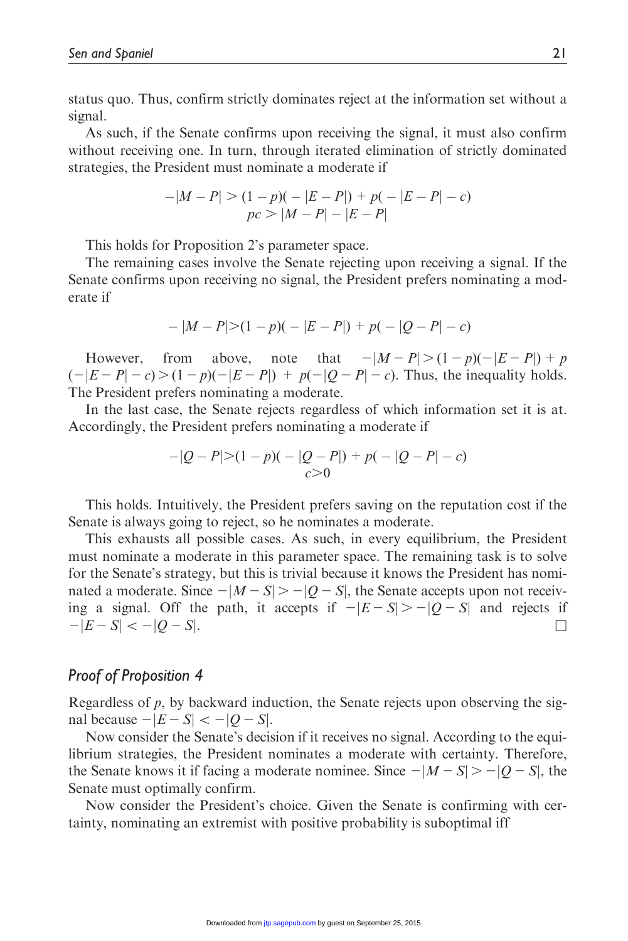status quo. Thus, confirm strictly dominates reject at the information set without a signal.

As such, if the Senate confirms upon receiving the signal, it must also confirm without receiving one. In turn, through iterated elimination of strictly dominated strategies, the President must nominate a moderate if

$$
-|M - P| > (1 - p)(-|E - P|) + p(-|E - P| - c)
$$
\n
$$
pc > |M - P| - |E - P|
$$

This holds for Proposition 2's parameter space.

The remaining cases involve the Senate rejecting upon receiving a signal. If the Senate confirms upon receiving no signal, the President prefers nominating a moderate if

$$
-|M-P|>(1-p)(-|E-P|)+p(-|Q-P|-c)
$$

However, from above, note that  $-|M-P| > (1-p)(-|E-P|) + p$  $(-|E - P| - c) > (1 - p)(-|E - P|) + p(-|Q - P| - c)$ . Thus, the inequality holds. The President prefers nominating a moderate.

In the last case, the Senate rejects regardless of which information set it is at. Accordingly, the President prefers nominating a moderate if

$$
-|Q-P|>(1-p)(-|Q-P|)+p(-|Q-P|-c) c>0
$$

This holds. Intuitively, the President prefers saving on the reputation cost if the Senate is always going to reject, so he nominates a moderate.

This exhausts all possible cases. As such, in every equilibrium, the President must nominate a moderate in this parameter space. The remaining task is to solve for the Senate's strategy, but this is trivial because it knows the President has nominated a moderate. Since  $-|M - S| > -|Q - S|$ , the Senate accepts upon not receiving a signal. Off the path, it accepts if  $-|E-S| > -|Q-S|$  and rejects if  $-|E-S| < -|Q-S|$ .

# Proof of Proposition 4

Regardless of  $p$ , by backward induction, the Senate rejects upon observing the signal because  $-|E-S| < -|Q-S|$ .

Now consider the Senate's de[cision if it](http://jtp.sagepub.com/) receives no signal. According to the equilibrium strategies, the President nominates a moderate with certainty. Therefore, the Senate knows it if facing a moderate nominee. Since  $-|M - S| > -|Q - S|$ , the Senate must optimally confirm.

Now consider the President's choice. Given the Senate is confirming with certainty, nominating an extremist with positive probability is suboptimal iff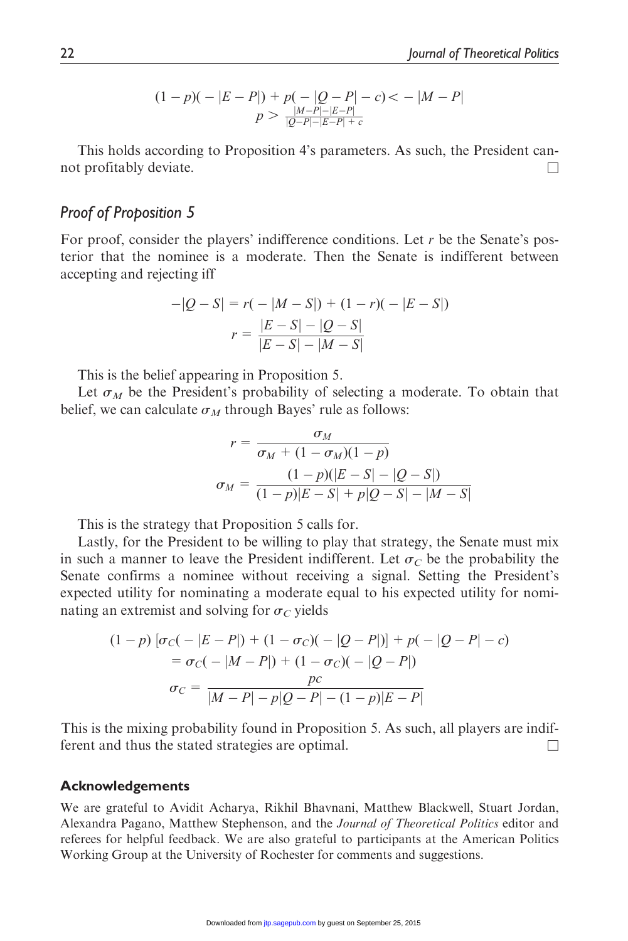$$
(1-p)(-|E-P|) + p(-|Q-P|-c) < -|M-P|
$$
  

$$
p > \frac{|M-P|-|E-P|}{|Q-P|-|E-P|+c}
$$

This holds according to Proposition 4's parameters. As such, the President cannot profitably deviate.  $\Box$ 

# Proof of Proposition 5

For proof, consider the players' indifference conditions. Let  $r$  be the Senate's posterior that the nominee is a moderate. Then the Senate is indifferent between accepting and rejecting iff

$$
-|Q - S| = r(-|M - S|) + (1 - r)(-|E - S|)
$$

$$
r = \frac{|E - S| - |Q - S|}{|E - S| - |M - S|}
$$

This is the belief appearing in Proposition 5.

Let  $\sigma_M$  be the President's probability of selecting a moderate. To obtain that belief, we can calculate  $\sigma_M$  through Bayes' rule as follows:

$$
r = \frac{\sigma_M}{\sigma_M + (1 - \sigma_M)(1 - p)}
$$

$$
\sigma_M = \frac{(1 - p)(|E - S| - |Q - S|)}{(1 - p)|E - S| + p|Q - S| - |M - S|}
$$

This is the strategy that Proposition 5 calls for.

Lastly, for the President to be willing to play that strategy, the Senate must mix in such a manner to leave the President indifferent. Let  $\sigma_C$  be the probability the Senate confirms a nominee without receiving a signal. Setting the President's expected utility for nominating a moderate equal to his expected utility for nominating an extremist and solving for  $\sigma_C$  yields

$$
(1-p) [\sigma_C(-|E-P]) + (1 - \sigma_C)(-|Q-P|)] + p(-|Q-P| - c)
$$
  
=  $\sigma_C(-|M-P|) + (1 - \sigma_C)(-|Q-P|)$   
 $\sigma_C = \frac{pc}{|M-P|-p|Q-P| - (1-p)|E-P|}$ 

This is the mixing probability found in Proposition 5. As such, all players are indifferent and thus the stated strategi[es](http://jtp.sagepub.com/) [are](http://jtp.sagepub.com/) [opt](http://jtp.sagepub.com/)imal.  $\Box$ 

#### Acknowledgements

We are grateful to Avidit Acharya, Rikhil Bhavnani, Matthew Blackwell, Stuart Jordan, Alexandra Pagano, Matthew Stephenson, and the Journal of Theoretical Politics editor and referees for helpful feedback. We are also grateful to participants at the American Politics Working Group at the University of Rochester for comments and suggestions.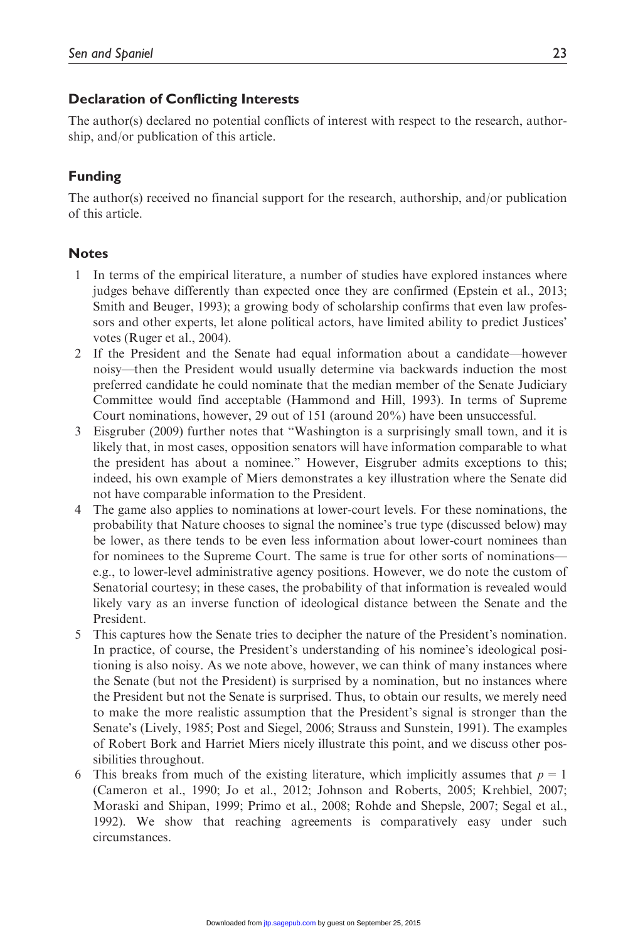## Declaration of Conflicting Interests

The author(s) declared no potential conflicts of interest with respect to the research, authorship, and/or publication of this article.

### Funding

The author(s) received no financial support for the research, authorship, and/or publication of this article.

## Notes

- 1 In terms of the empirical literature, a number of studies have explored instances where judges behave differently than expected once they are confirmed (Epstein et al., 2013; Smith and Beuger, 1993); a growing body of scholarship confirms that even law professors and other experts, let alone political actors, have limited ability to predict Justices' votes (Ruger et al., 2004).
- 2 If the President and the Senate had equal information about a candidate—however noisy—then the President would usually determine via backwards induction the most preferred candidate he could nominate that the median member of the Senate Judiciary Committee would find acceptable (Hammond and Hill, 1993). In terms of Supreme Court nominations, however, 29 out of 151 (around 20%) have been unsuccessful.
- 3 Eisgruber (2009) further notes that ''Washington is a surprisingly small town, and it is likely that, in most cases, opposition senators will have information comparable to what the president has about a nominee.'' However, Eisgruber admits exceptions to this; indeed, his own example of Miers demonstrates a key illustration where the Senate did not have comparable information to the President.
- 4 The game also applies to nominations at lower-court levels. For these nominations, the probability that Nature chooses to signal the nominee's true type (discussed below) may be lower, as there tends to be even less information about lower-court nominees than for nominees to the Supreme Court. The same is true for other sorts of nominations e.g., to lower-level administrative agency positions. However, we do note the custom of Senatorial courtesy; in these cases, the probability of that information is revealed would likely vary as an inverse function of ideological distance between the Senate and the President.
- 5 This captures how the Senate tries to decipher the nature of the President's nomination. In practice, of course, the President's understanding of his nominee's ideological positioning is also noisy. As we note above, however, we can think of many instances where the Senate (but not the President) is surprised by a nomination, but no instances where the President but not the Senate is surprised. Thus, to obtain our results, we merely need to make the more realistic assumption that the President's signal is stronger than the Senate's (Lively, 1985; Post and Siegel, 2006; Strauss and Sunstein, 1991). The examples of Robert Bork and Harriet M[iers](http://jtp.sagepub.com/) [nicely](http://jtp.sagepub.com/) illustrate this point, and we discuss other possibilities throughout.
- 6 This breaks from much of the existing literature, which implicitly assumes that  $p = 1$ (Cameron et al., 1990; Jo et al., 2012; Johnson and Roberts, 2005; Krehbiel, 2007; Moraski and Shipan, 1999; Primo et al., 2008; Rohde and Shepsle, 2007; Segal et al., 1992). We show that reaching agreements is comparatively easy under such circumstances.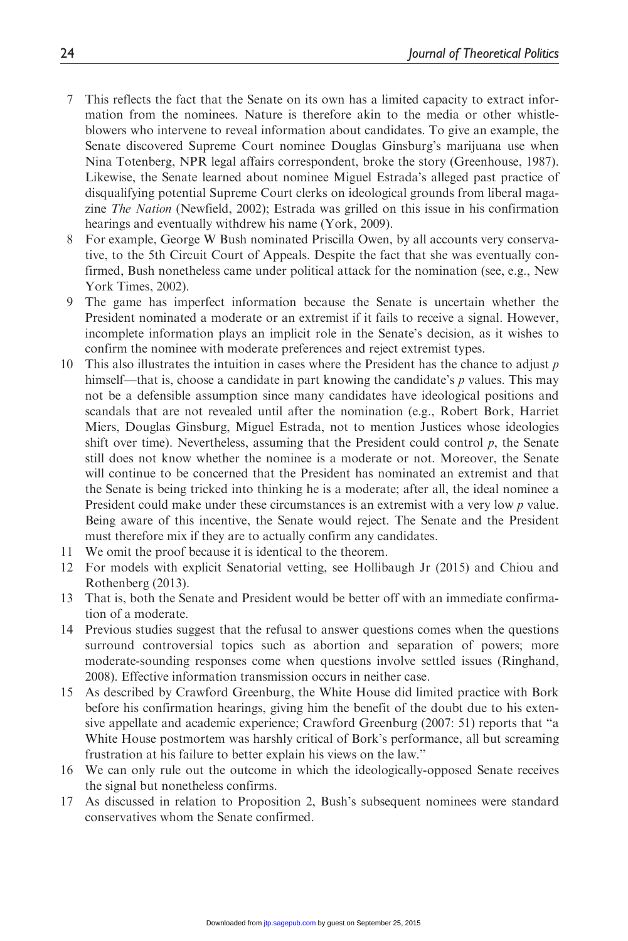- 7 This reflects the fact that the Senate on its own has a limited capacity to extract information from the nominees. Nature is therefore akin to the media or other whistleblowers who intervene to reveal information about candidates. To give an example, the Senate discovered Supreme Court nominee Douglas Ginsburg's marijuana use when Nina Totenberg, NPR legal affairs correspondent, broke the story (Greenhouse, 1987). Likewise, the Senate learned about nominee Miguel Estrada's alleged past practice of disqualifying potential Supreme Court clerks on ideological grounds from liberal magazine The Nation (Newfield, 2002); Estrada was grilled on this issue in his confirmation hearings and eventually withdrew his name (York, 2009).
- 8 For example, George W Bush nominated Priscilla Owen, by all accounts very conservative, to the 5th Circuit Court of Appeals. Despite the fact that she was eventually confirmed, Bush nonetheless came under political attack for the nomination (see, e.g., New York Times, 2002).
- 9 The game has imperfect information because the Senate is uncertain whether the President nominated a moderate or an extremist if it fails to receive a signal. However, incomplete information plays an implicit role in the Senate's decision, as it wishes to confirm the nominee with moderate preferences and reject extremist types.
- 10 This also illustrates the intuition in cases where the President has the chance to adjust  $p$ himself—that is, choose a candidate in part knowing the candidate's  $p$  values. This may not be a defensible assumption since many candidates have ideological positions and scandals that are not revealed until after the nomination (e.g., Robert Bork, Harriet Miers, Douglas Ginsburg, Miguel Estrada, not to mention Justices whose ideologies shift over time). Nevertheless, assuming that the President could control  $p$ , the Senate still does not know whether the nominee is a moderate or not. Moreover, the Senate will continue to be concerned that the President has nominated an extremist and that the Senate is being tricked into thinking he is a moderate; after all, the ideal nominee a President could make under these circumstances is an extremist with a very low p value. Being aware of this incentive, the Senate would reject. The Senate and the President must therefore mix if they are to actually confirm any candidates.
- 11 We omit the proof because it is identical to the theorem.
- 12 For models with explicit Senatorial vetting, see Hollibaugh Jr (2015) and Chiou and Rothenberg (2013).
- 13 That is, both the Senate and President would be better off with an immediate confirmation of a moderate.
- 14 Previous studies suggest that the refusal to answer questions comes when the questions surround controversial topics such as abortion and separation of powers; more moderate-sounding responses come when questions involve settled issues (Ringhand, 2008). Effective information transmission occurs in neither case.
- 15 As described by Crawford Greenburg, the White House did limited practice with Bork before his confirmation hearings, giving him the benefit of the doubt due to his extensive appellate and academic experience; Crawford Greenburg (2007: 51) reports that ''a White House postmortem was h[arshly criti](http://jtp.sagepub.com/)cal of Bork's performance, all but screaming frustration at his failure to better explain his views on the law.''
- 16 We can only rule out the outcome in which the ideologically-opposed Senate receives the signal but nonetheless confirms.
- 17 As discussed in relation to Proposition 2, Bush's subsequent nominees were standard conservatives whom the Senate confirmed.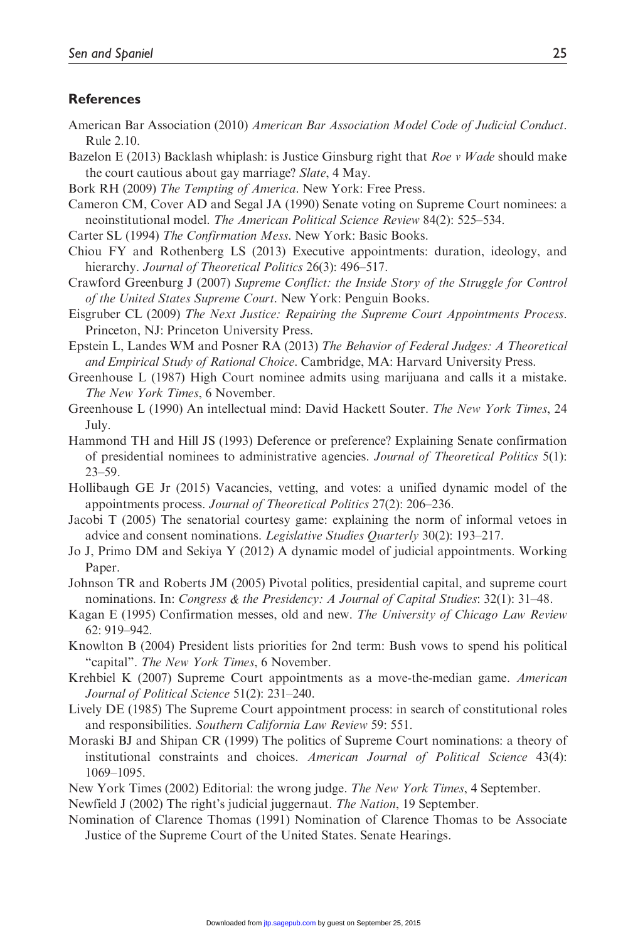## **References**

- American Bar Association (2010) American Bar Association Model Code of Judicial Conduct. Rule 2.10.
- Bazelon E (2013) Backlash whiplash: is Justice Ginsburg right that *Roe v Wade* should make the court cautious about gay marriage? Slate, 4 May.
- Bork RH (2009) The Tempting of America. New York: Free Press.
- Cameron CM, Cover AD and Segal JA (1990) Senate voting on Supreme Court nominees: a neoinstitutional model. The American Political Science Review 84(2): 525–534.
- Carter SL (1994) The Confirmation Mess. New York: Basic Books.
- Chiou FY and Rothenberg LS (2013) Executive appointments: duration, ideology, and hierarchy. Journal of Theoretical Politics 26(3): 496–517.
- Crawford Greenburg J (2007) Supreme Conflict: the Inside Story of the Struggle for Control of the United States Supreme Court. New York: Penguin Books.
- Eisgruber CL (2009) The Next Justice: Repairing the Supreme Court Appointments Process. Princeton, NJ: Princeton University Press.
- Epstein L, Landes WM and Posner RA (2013) The Behavior of Federal Judges: A Theoretical and Empirical Study of Rational Choice. Cambridge, MA: Harvard University Press.
- Greenhouse L (1987) High Court nominee admits using marijuana and calls it a mistake. The New York Times, 6 November.
- Greenhouse L (1990) An intellectual mind: David Hackett Souter. The New York Times, 24 July.
- Hammond TH and Hill JS (1993) Deference or preference? Explaining Senate confirmation of presidential nominees to administrative agencies. Journal of Theoretical Politics 5(1): 23–59.
- Hollibaugh GE Jr (2015) Vacancies, vetting, and votes: a unified dynamic model of the appointments process. Journal of Theoretical Politics 27(2): 206–236.
- Jacobi T (2005) The senatorial courtesy game: explaining the norm of informal vetoes in advice and consent nominations. Legislative Studies Quarterly 30(2): 193–217.
- Jo J, Primo DM and Sekiya Y (2012) A dynamic model of judicial appointments. Working Paper.
- Johnson TR and Roberts JM (2005) Pivotal politics, presidential capital, and supreme court nominations. In: Congress & the Presidency: A Journal of Capital Studies: 32(1): 31–48.
- Kagan E (1995) Confirmation messes, old and new. The University of Chicago Law Review 62: 919–942.
- Knowlton B (2004) President lists priorities for 2nd term: Bush vows to spend his political "capital". The New York Times, 6 November.
- Krehbiel K (2007) Supreme Court appointments as a move-the-median game. American Journal of Political Science 51(2): 231–240.
- Lively DE (1985) The Supreme Court appointment process: in search of constitutional roles and responsibilities. Southern California Law Review 59: 551.
- Moraski BJ and Shipan CR (1999) [The politic](http://jtp.sagepub.com/)s of Supreme Court nominations: a theory of institutional constraints and choices. American Journal of Political Science 43(4): 1069–1095.
- New York Times (2002) Editorial: the wrong judge. The New York Times, 4 September.

Newfield J (2002) The right's judicial juggernaut. The Nation, 19 September.

Nomination of Clarence Thomas (1991) Nomination of Clarence Thomas to be Associate Justice of the Supreme Court of the United States. Senate Hearings.